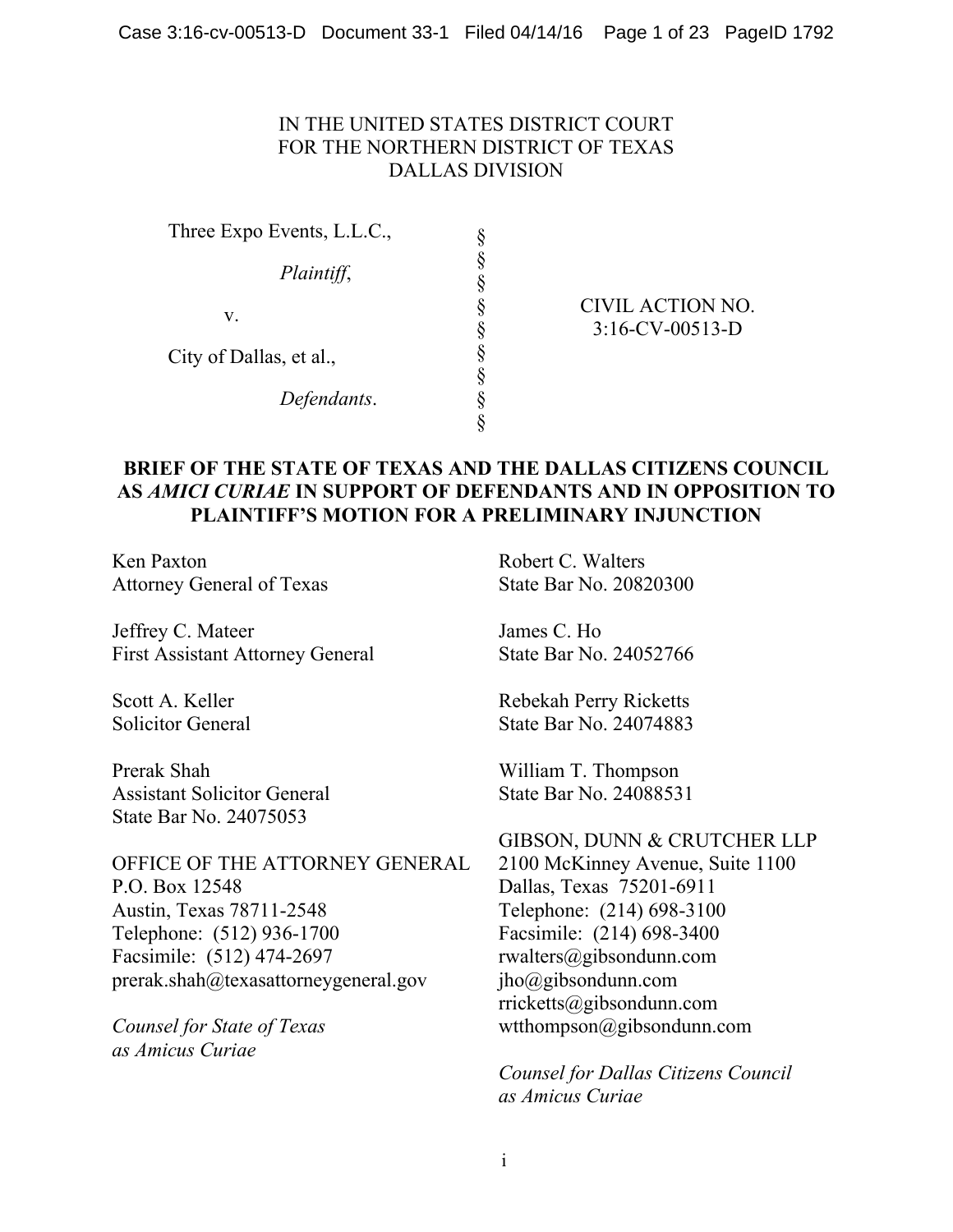## IN THE UNITED STATES DISTRICT COURT FOR THE NORTHERN DISTRICT OF TEXAS DALLAS DIVISION

§ § § § § § § § §

Three Expo Events, L.L.C., *Plaintiff*, v. City of Dallas, et al., *Defendants*.

#### CIVIL ACTION NO. 3:16-CV-00513-D

## **BRIEF OF THE STATE OF TEXAS AND THE DALLAS CITIZENS COUNCIL AS** *AMICI CURIAE* **IN SUPPORT OF DEFENDANTS AND IN OPPOSITION TO PLAINTIFF'S MOTION FOR A PRELIMINARY INJUNCTION**

Ken Paxton Attorney General of Texas

Jeffrey C. Mateer First Assistant Attorney General

Scott A. Keller Solicitor General

Prerak Shah Assistant Solicitor General State Bar No. 24075053

OFFICE OF THE ATTORNEY GENERAL P.O. Box 12548 Austin, Texas 78711-2548 Telephone: (512) 936-1700 Facsimile: (512) 474-2697  $p$ rerak.shah@texasattorneygeneral.gov

*Counsel for State of Texas as Amicus Curiae* 

Robert C. Walters State Bar No. 20820300

James C. Ho State Bar No. 24052766

Rebekah Perry Ricketts State Bar No. 24074883

William T. Thompson State Bar No. 24088531

## GIBSON, DUNN & CRUTCHER LLP

2100 McKinney Avenue, Suite 1100 Dallas, Texas 75201-6911 Telephone: (214) 698-3100 Facsimile: (214) 698-3400 rwalters@gibsondunn.com jho@gibsondunn.com rricketts@gibsondunn.com wtthompson@gibsondunn.com

*Counsel for Dallas Citizens Council as Amicus Curiae*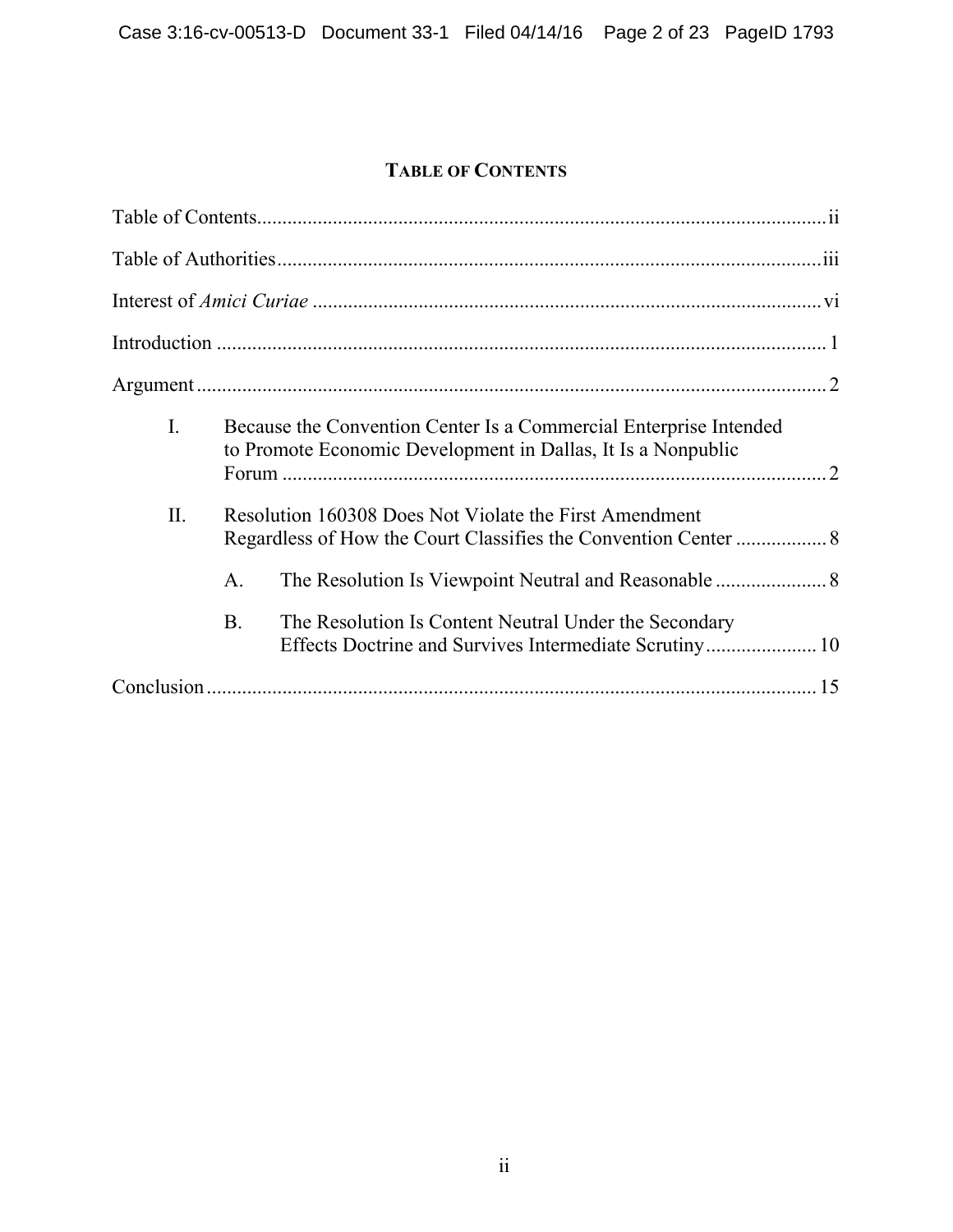# **TABLE OF CONTENTS**

| I.  | Because the Convention Center Is a Commercial Enterprise Intended<br>to Promote Economic Development in Dallas, It Is a Nonpublic  |  |
|-----|------------------------------------------------------------------------------------------------------------------------------------|--|
| II. | Resolution 160308 Does Not Violate the First Amendment<br>A.<br>The Resolution Is Content Neutral Under the Secondary<br><b>B.</b> |  |
|     |                                                                                                                                    |  |
|     |                                                                                                                                    |  |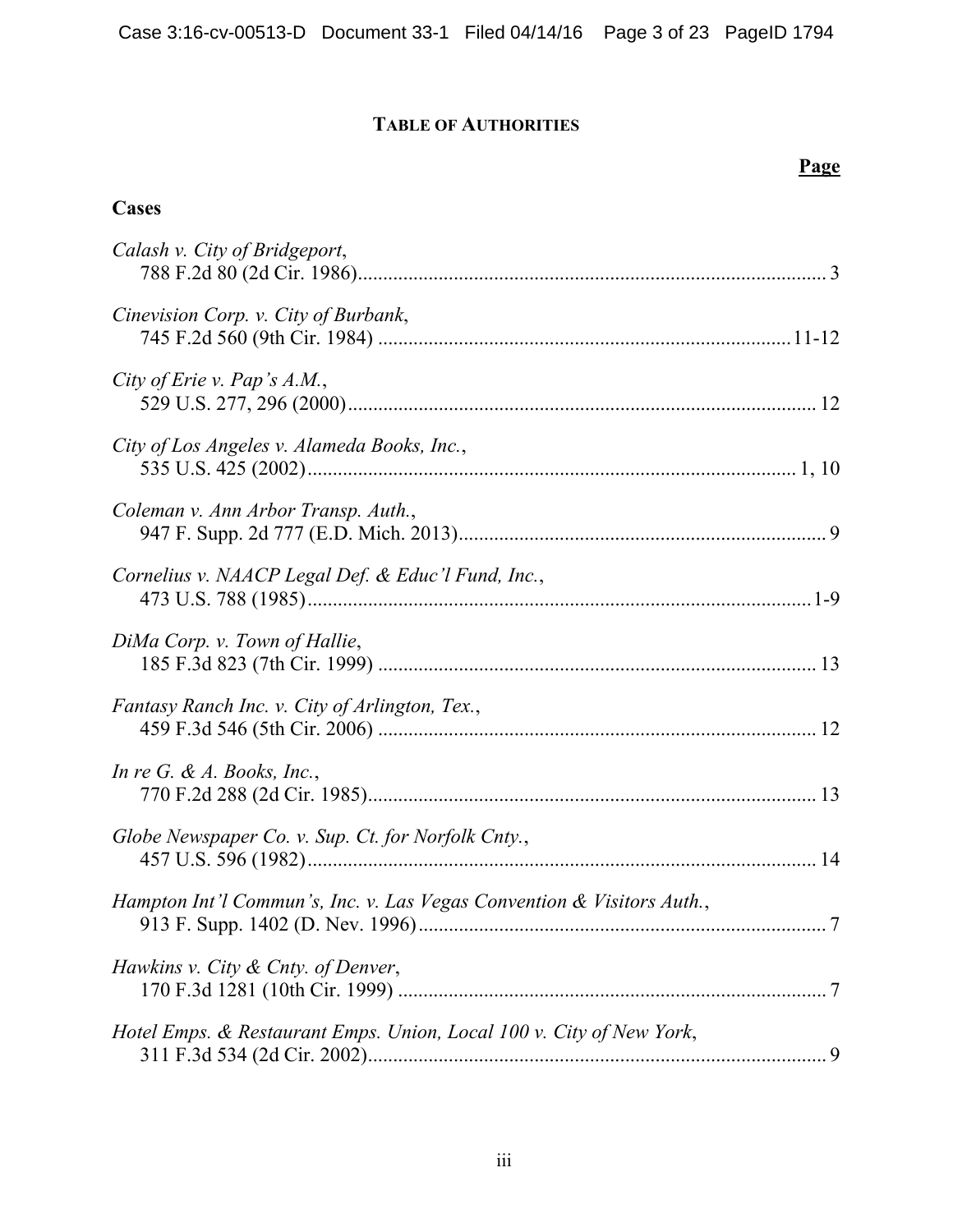# **TABLE OF AUTHORITIES**

# **Page**

# **Cases**

| Calash v. City of Bridgeport,                                          |  |
|------------------------------------------------------------------------|--|
| Cinevision Corp. v. City of Burbank,                                   |  |
| City of Erie v. Pap's $A.M.$ ,                                         |  |
| City of Los Angeles v. Alameda Books, Inc.,                            |  |
| Coleman v. Ann Arbor Transp. Auth.,                                    |  |
| Cornelius v. NAACP Legal Def. & Educ'l Fund, Inc.,                     |  |
| DiMa Corp. v. Town of Hallie,                                          |  |
| Fantasy Ranch Inc. v. City of Arlington, Tex.,                         |  |
| In re G. & A. Books, Inc.,                                             |  |
| Globe Newspaper Co. v. Sup. Ct. for Norfolk Cnty.,                     |  |
| Hampton Int'l Commun's, Inc. v. Las Vegas Convention & Visitors Auth., |  |
| Hawkins v. City & Cnty. of Denver,                                     |  |
| Hotel Emps. & Restaurant Emps. Union, Local 100 v. City of New York,   |  |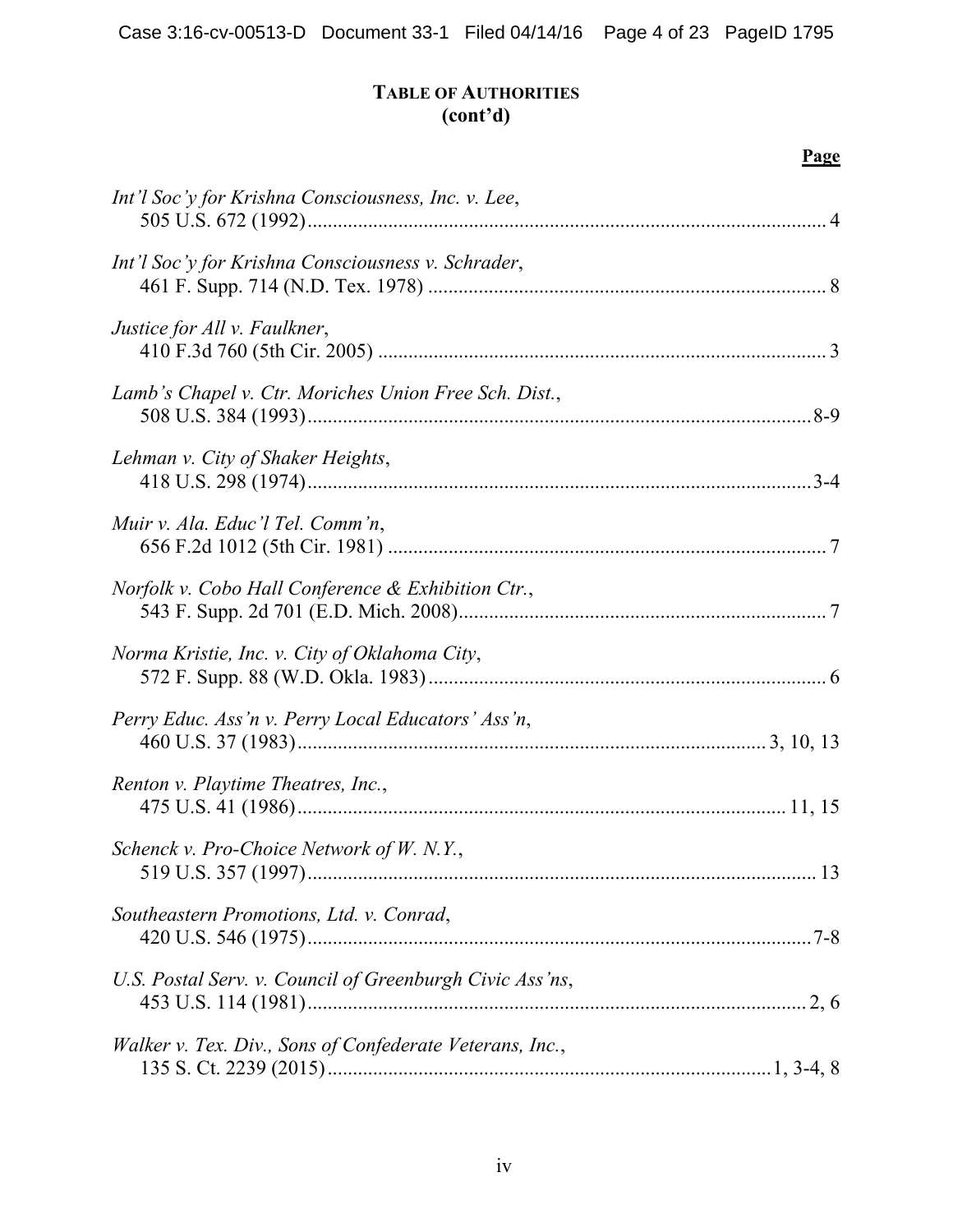## **TABLE OF AUTHORITIES (cont'd)**

**Page**

| Int'l Soc'y for Krishna Consciousness, Inc. v. Lee,      |  |
|----------------------------------------------------------|--|
| Int'l Soc'y for Krishna Consciousness v. Schrader,       |  |
| Justice for All v. Faulkner,                             |  |
| Lamb's Chapel v. Ctr. Moriches Union Free Sch. Dist.,    |  |
| Lehman v. City of Shaker Heights,                        |  |
| Muir v. Ala. Educ'l Tel. Comm'n,                         |  |
| Norfolk v. Cobo Hall Conference & Exhibition Ctr.,       |  |
| Norma Kristie, Inc. v. City of Oklahoma City,            |  |
| Perry Educ. Ass'n v. Perry Local Educators' Ass'n,       |  |
| Renton v. Playtime Theatres, Inc.,                       |  |
| Schenck v. Pro-Choice Network of W. N.Y.,                |  |
| Southeastern Promotions, Ltd. v. Conrad,                 |  |
| U.S. Postal Serv. v. Council of Greenburgh Civic Ass'ns, |  |
| Walker v. Tex. Div., Sons of Confederate Veterans, Inc., |  |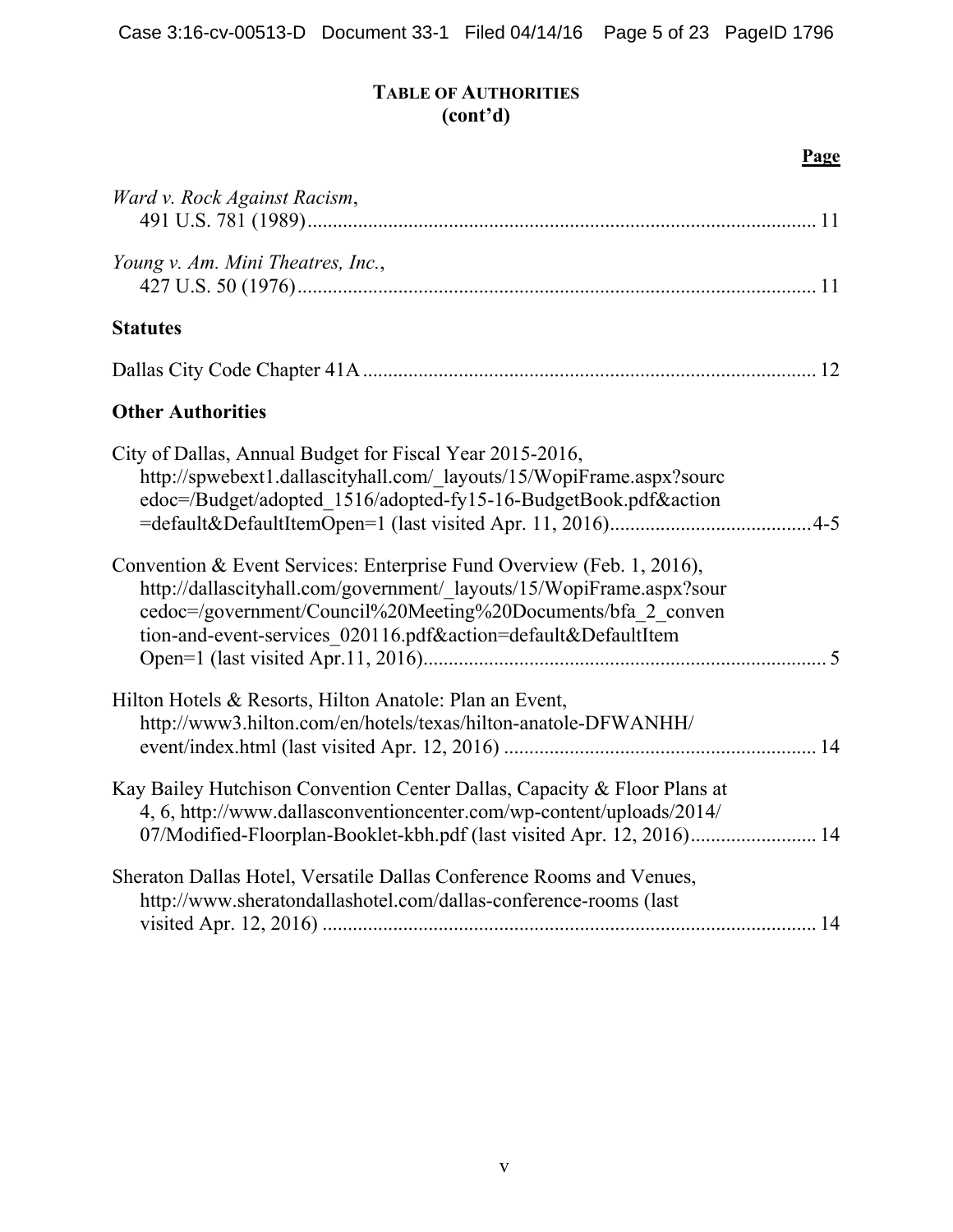# **TABLE OF AUTHORITIES (cont'd)**

| Ward v. Rock Against Racism,                                                                                                                                                                                                                                                   |  |
|--------------------------------------------------------------------------------------------------------------------------------------------------------------------------------------------------------------------------------------------------------------------------------|--|
| Young v. Am. Mini Theatres, Inc.,                                                                                                                                                                                                                                              |  |
| <b>Statutes</b>                                                                                                                                                                                                                                                                |  |
|                                                                                                                                                                                                                                                                                |  |
| <b>Other Authorities</b>                                                                                                                                                                                                                                                       |  |
| City of Dallas, Annual Budget for Fiscal Year 2015-2016,<br>http://spwebext1.dallascityhall.com/ layouts/15/WopiFrame.aspx?sourc<br>edoc=/Budget/adopted 1516/adopted-fy15-16-BudgetBook.pdf&action                                                                            |  |
| Convention & Event Services: Enterprise Fund Overview (Feb. 1, 2016),<br>http://dallascityhall.com/government/ layouts/15/WopiFrame.aspx?sour<br>cedoc=/government/Council%20Meeting%20Documents/bfa 2 conven<br>tion-and-event-services 020116.pdf&action=default&DefaultItem |  |
| Hilton Hotels & Resorts, Hilton Anatole: Plan an Event,<br>http://www3.hilton.com/en/hotels/texas/hilton-anatole-DFWANHH/                                                                                                                                                      |  |
| Kay Bailey Hutchison Convention Center Dallas, Capacity & Floor Plans at<br>4, 6, http://www.dallasconventioncenter.com/wp-content/uploads/2014/<br>07/Modified-Floorplan-Booklet-kbh.pdf (last visited Apr. 12, 2016) 14                                                      |  |
| Sheraton Dallas Hotel, Versatile Dallas Conference Rooms and Venues,<br>http://www.sheratondallashotel.com/dallas-conference-rooms (last                                                                                                                                       |  |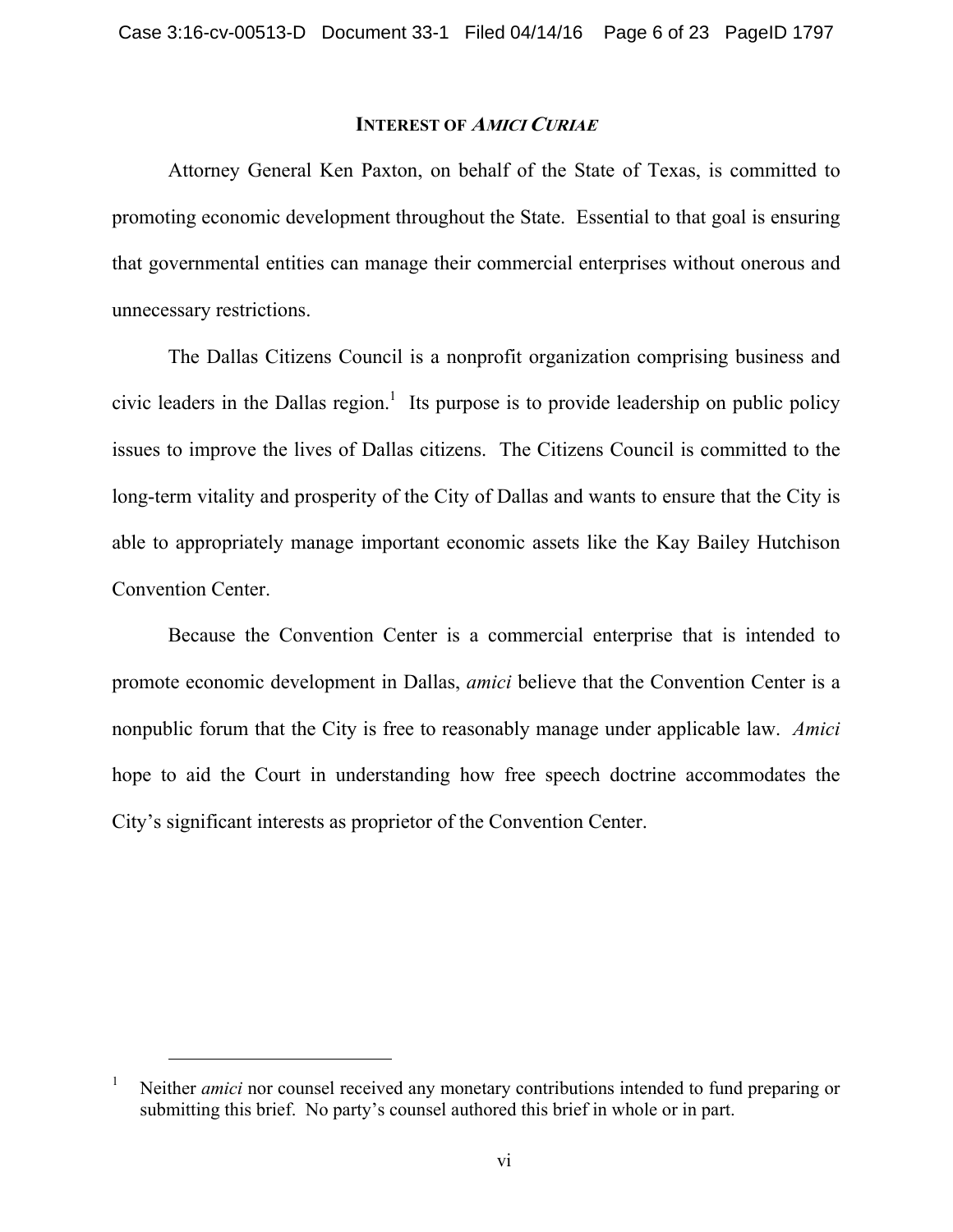#### **INTEREST OF <sup>A</sup>MICI CURIAE**

Attorney General Ken Paxton, on behalf of the State of Texas, is committed to promoting economic development throughout the State. Essential to that goal is ensuring that governmental entities can manage their commercial enterprises without onerous and unnecessary restrictions.

The Dallas Citizens Council is a nonprofit organization comprising business and civic leaders in the Dallas region.<sup>1</sup> Its purpose is to provide leadership on public policy issues to improve the lives of Dallas citizens. The Citizens Council is committed to the long-term vitality and prosperity of the City of Dallas and wants to ensure that the City is able to appropriately manage important economic assets like the Kay Bailey Hutchison Convention Center.

Because the Convention Center is a commercial enterprise that is intended to promote economic development in Dallas, *amici* believe that the Convention Center is a nonpublic forum that the City is free to reasonably manage under applicable law. *Amici*  hope to aid the Court in understanding how free speech doctrine accommodates the City's significant interests as proprietor of the Convention Center.

<sup>1</sup> Neither *amici* nor counsel received any monetary contributions intended to fund preparing or submitting this brief. No party's counsel authored this brief in whole or in part.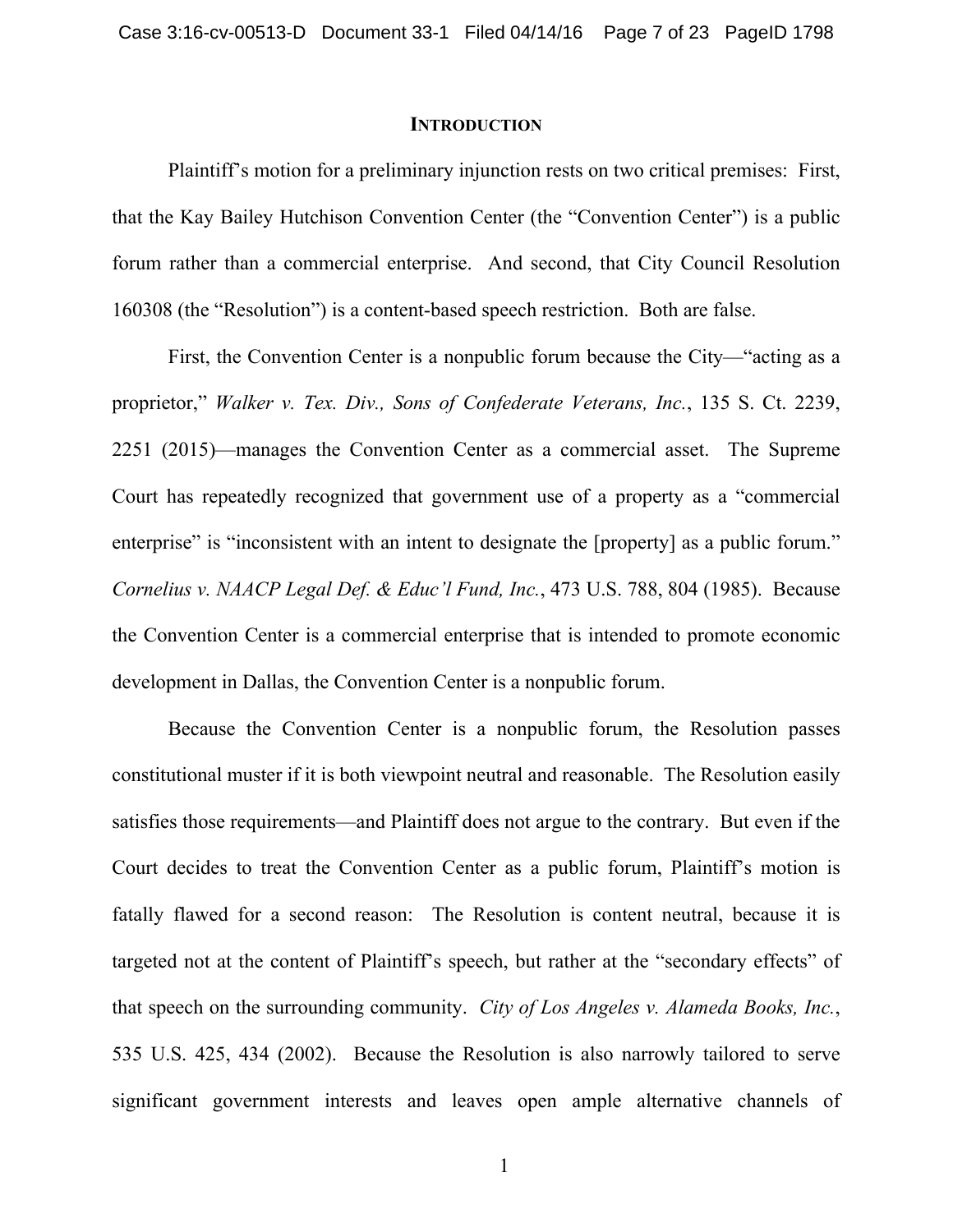#### **INTRODUCTION**

Plaintiff's motion for a preliminary injunction rests on two critical premises: First, that the Kay Bailey Hutchison Convention Center (the "Convention Center") is a public forum rather than a commercial enterprise. And second, that City Council Resolution 160308 (the "Resolution") is a content-based speech restriction. Both are false.

First, the Convention Center is a nonpublic forum because the City—"acting as a proprietor," *Walker v. Tex. Div., Sons of Confederate Veterans, Inc.*, 135 S. Ct. 2239, 2251 (2015)—manages the Convention Center as a commercial asset. The Supreme Court has repeatedly recognized that government use of a property as a "commercial enterprise" is "inconsistent with an intent to designate the [property] as a public forum." *Cornelius v. NAACP Legal Def. & Educ'l Fund, Inc.*, 473 U.S. 788, 804 (1985). Because the Convention Center is a commercial enterprise that is intended to promote economic development in Dallas, the Convention Center is a nonpublic forum.

Because the Convention Center is a nonpublic forum, the Resolution passes constitutional muster if it is both viewpoint neutral and reasonable. The Resolution easily satisfies those requirements—and Plaintiff does not argue to the contrary. But even if the Court decides to treat the Convention Center as a public forum, Plaintiff's motion is fatally flawed for a second reason: The Resolution is content neutral, because it is targeted not at the content of Plaintiff's speech, but rather at the "secondary effects" of that speech on the surrounding community. *City of Los Angeles v. Alameda Books, Inc.*, 535 U.S. 425, 434 (2002). Because the Resolution is also narrowly tailored to serve significant government interests and leaves open ample alternative channels of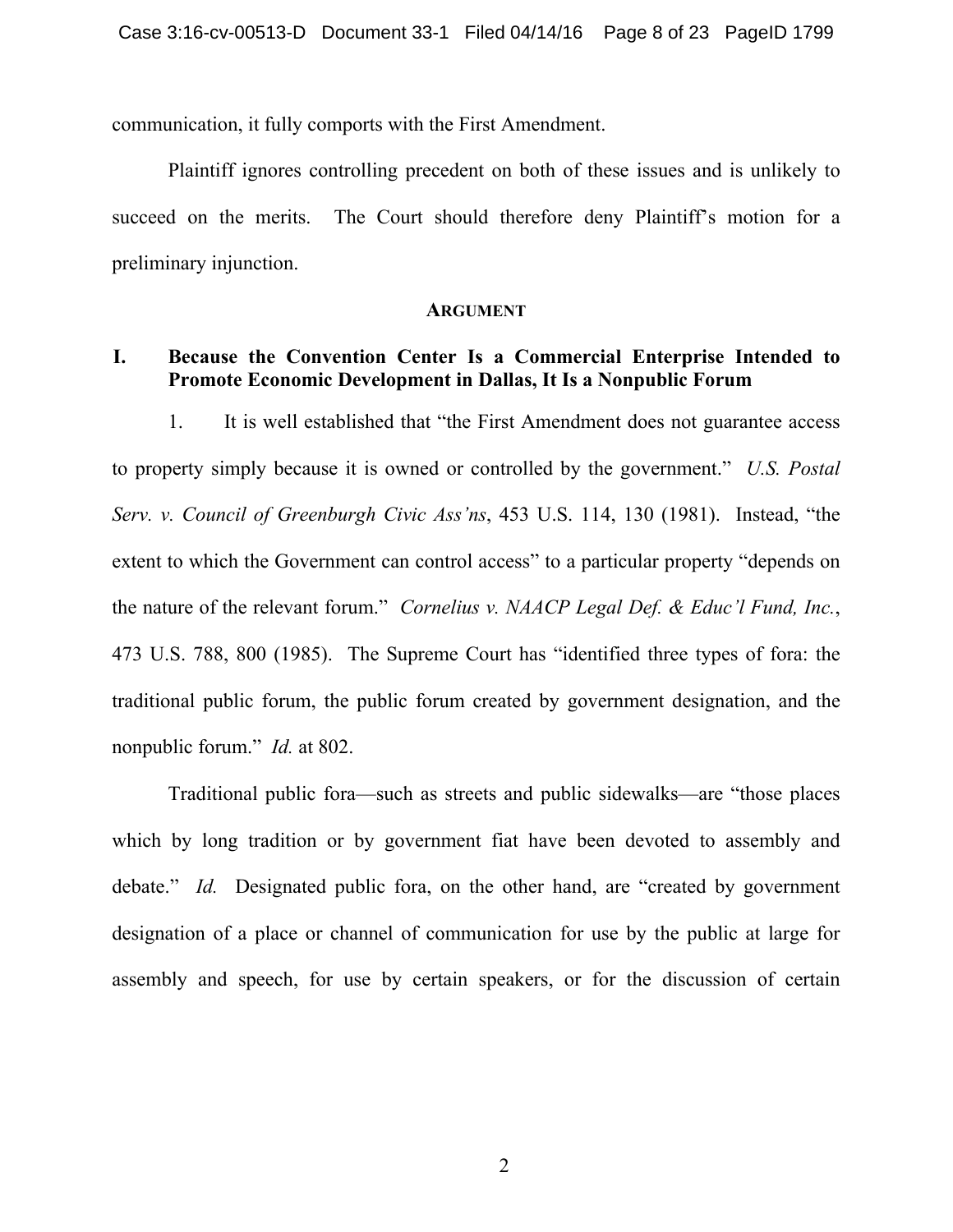communication, it fully comports with the First Amendment.

Plaintiff ignores controlling precedent on both of these issues and is unlikely to succeed on the merits. The Court should therefore deny Plaintiff's motion for a preliminary injunction.

#### **ARGUMENT**

### **I. Because the Convention Center Is a Commercial Enterprise Intended to Promote Economic Development in Dallas, It Is a Nonpublic Forum**

1. It is well established that "the First Amendment does not guarantee access to property simply because it is owned or controlled by the government." *U.S. Postal Serv. v. Council of Greenburgh Civic Ass'ns*, 453 U.S. 114, 130 (1981). Instead, "the extent to which the Government can control access" to a particular property "depends on the nature of the relevant forum." *Cornelius v. NAACP Legal Def. & Educ'l Fund, Inc.*, 473 U.S. 788, 800 (1985). The Supreme Court has "identified three types of fora: the traditional public forum, the public forum created by government designation, and the nonpublic forum." *Id.* at 802.

Traditional public fora—such as streets and public sidewalks—are "those places which by long tradition or by government fiat have been devoted to assembly and debate." *Id.* Designated public fora, on the other hand, are "created by government designation of a place or channel of communication for use by the public at large for assembly and speech, for use by certain speakers, or for the discussion of certain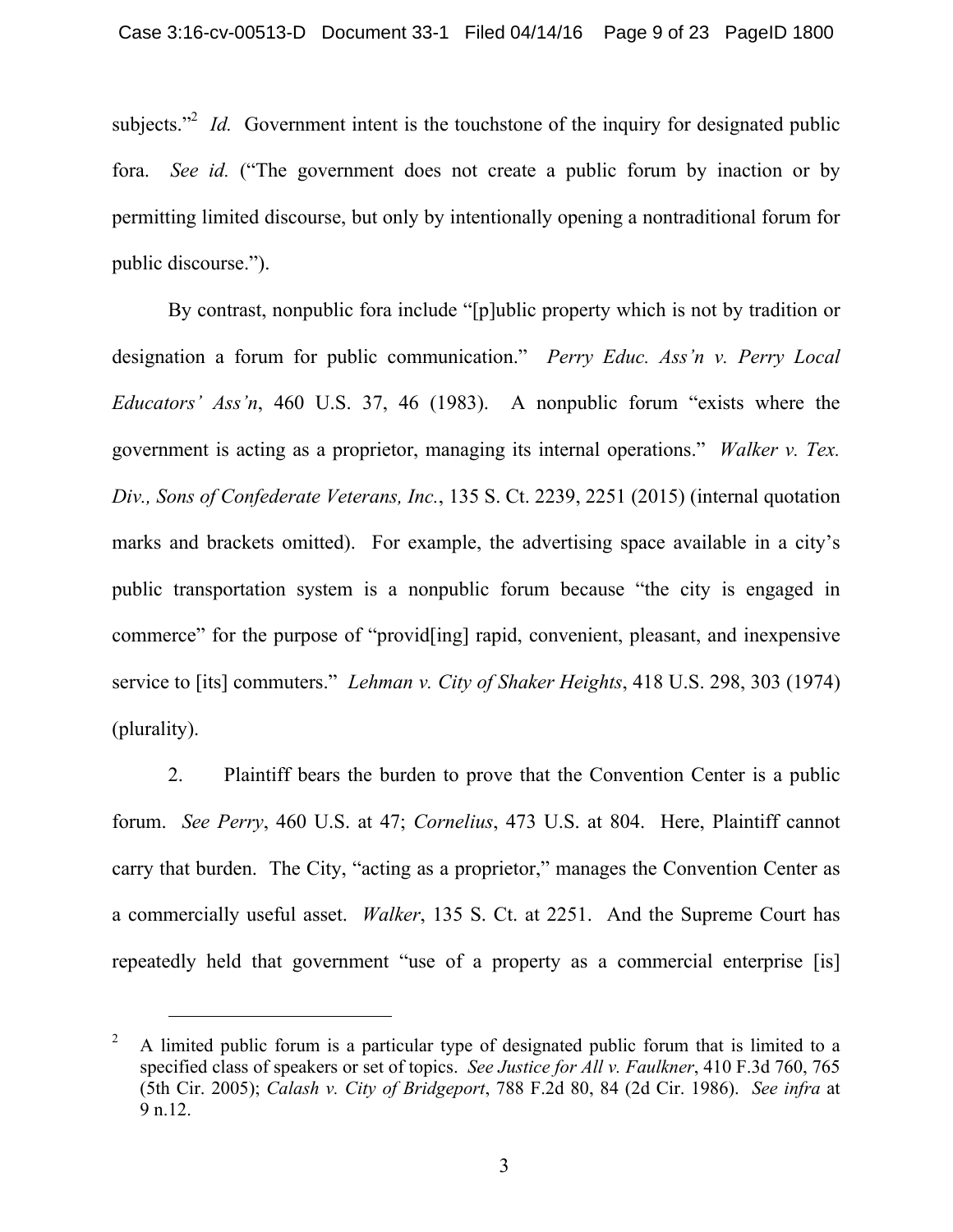subjects.<sup> $2$ </sup> *Id.* Government intent is the touchstone of the inquiry for designated public fora. *See id.* ("The government does not create a public forum by inaction or by permitting limited discourse, but only by intentionally opening a nontraditional forum for public discourse.").

By contrast, nonpublic fora include "[p]ublic property which is not by tradition or designation a forum for public communication." *Perry Educ. Ass'n v. Perry Local Educators' Ass'n*, 460 U.S. 37, 46 (1983). A nonpublic forum "exists where the government is acting as a proprietor, managing its internal operations." *Walker v. Tex. Div., Sons of Confederate Veterans, Inc.*, 135 S. Ct. 2239, 2251 (2015) (internal quotation marks and brackets omitted). For example, the advertising space available in a city's public transportation system is a nonpublic forum because "the city is engaged in commerce" for the purpose of "provid[ing] rapid, convenient, pleasant, and inexpensive service to [its] commuters." *Lehman v. City of Shaker Heights*, 418 U.S. 298, 303 (1974) (plurality).

2. Plaintiff bears the burden to prove that the Convention Center is a public forum. *See Perry*, 460 U.S. at 47; *Cornelius*, 473 U.S. at 804. Here, Plaintiff cannot carry that burden. The City, "acting as a proprietor," manages the Convention Center as a commercially useful asset. *Walker*, 135 S. Ct. at 2251. And the Supreme Court has repeatedly held that government "use of a property as a commercial enterprise [is]

<sup>2</sup> A limited public forum is a particular type of designated public forum that is limited to a specified class of speakers or set of topics. *See Justice for All v. Faulkner*, 410 F.3d 760, 765 (5th Cir. 2005); *Calash v. City of Bridgeport*, 788 F.2d 80, 84 (2d Cir. 1986). *See infra* at 9 n.12.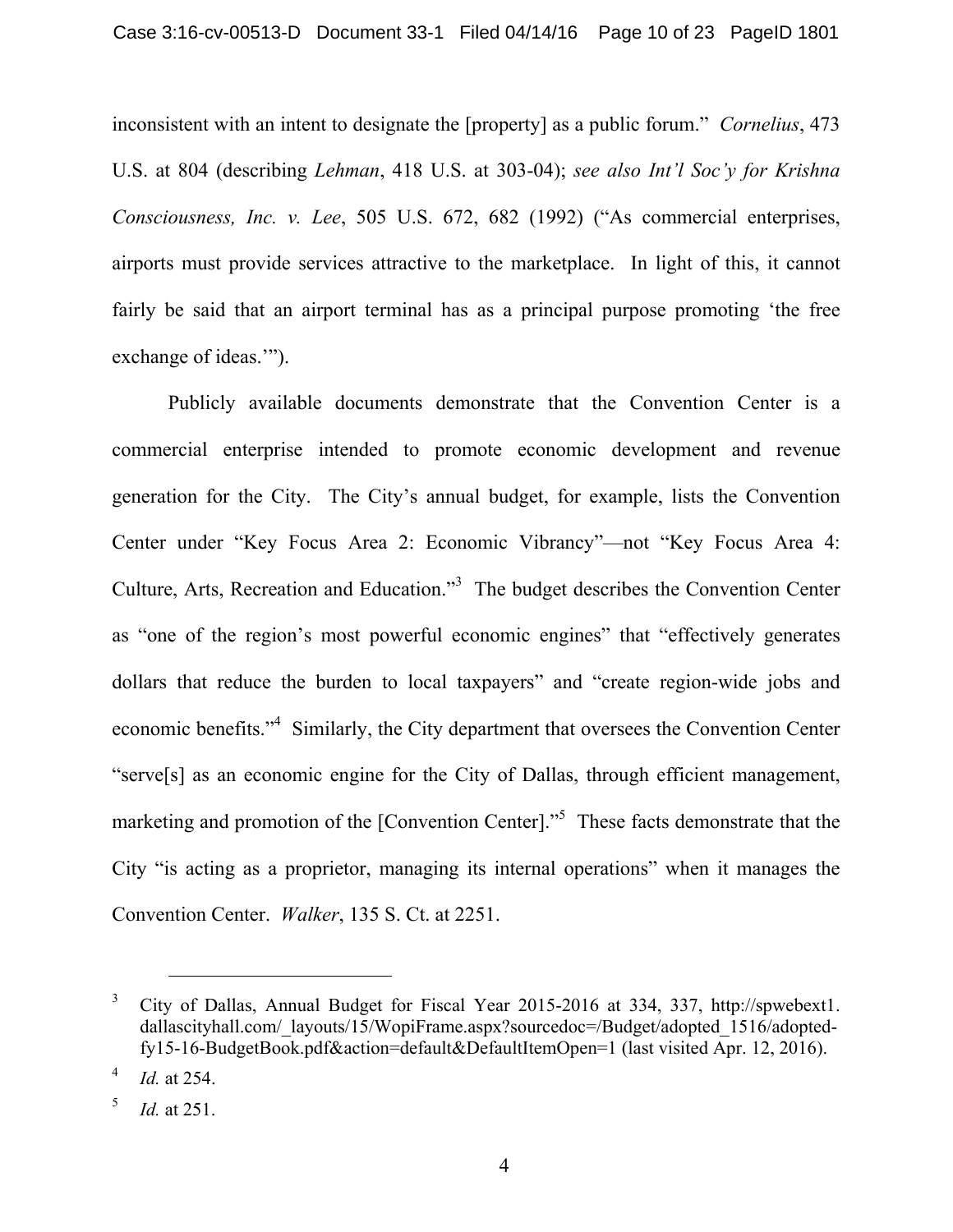inconsistent with an intent to designate the [property] as a public forum." *Cornelius*, 473 U.S. at 804 (describing *Lehman*, 418 U.S. at 303-04); *see also Int'l Soc'y for Krishna Consciousness, Inc. v. Lee*, 505 U.S. 672, 682 (1992) ("As commercial enterprises, airports must provide services attractive to the marketplace. In light of this, it cannot fairly be said that an airport terminal has as a principal purpose promoting 'the free exchange of ideas.'").

Publicly available documents demonstrate that the Convention Center is a commercial enterprise intended to promote economic development and revenue generation for the City. The City's annual budget, for example, lists the Convention Center under "Key Focus Area 2: Economic Vibrancy"—not "Key Focus Area 4: Culture, Arts, Recreation and Education."<sup>3</sup> The budget describes the Convention Center as "one of the region's most powerful economic engines" that "effectively generates dollars that reduce the burden to local taxpayers" and "create region-wide jobs and economic benefits."<sup>4</sup> Similarly, the City department that oversees the Convention Center "serve[s] as an economic engine for the City of Dallas, through efficient management, marketing and promotion of the [Convention Center].<sup>55</sup> These facts demonstrate that the City "is acting as a proprietor, managing its internal operations" when it manages the Convention Center. *Walker*, 135 S. Ct. at 2251.

<sup>3</sup> City of Dallas, Annual Budget for Fiscal Year 2015-2016 at 334, 337, http://spwebext1. dallascityhall.com/\_layouts/15/WopiFrame.aspx?sourcedoc=/Budget/adopted 1516/adoptedfy15-16-BudgetBook.pdf&action=default&DefaultItemOpen=1 (last visited Apr. 12, 2016).

<sup>4</sup> *Id.* at 254.

<sup>5</sup> *Id.* at 251.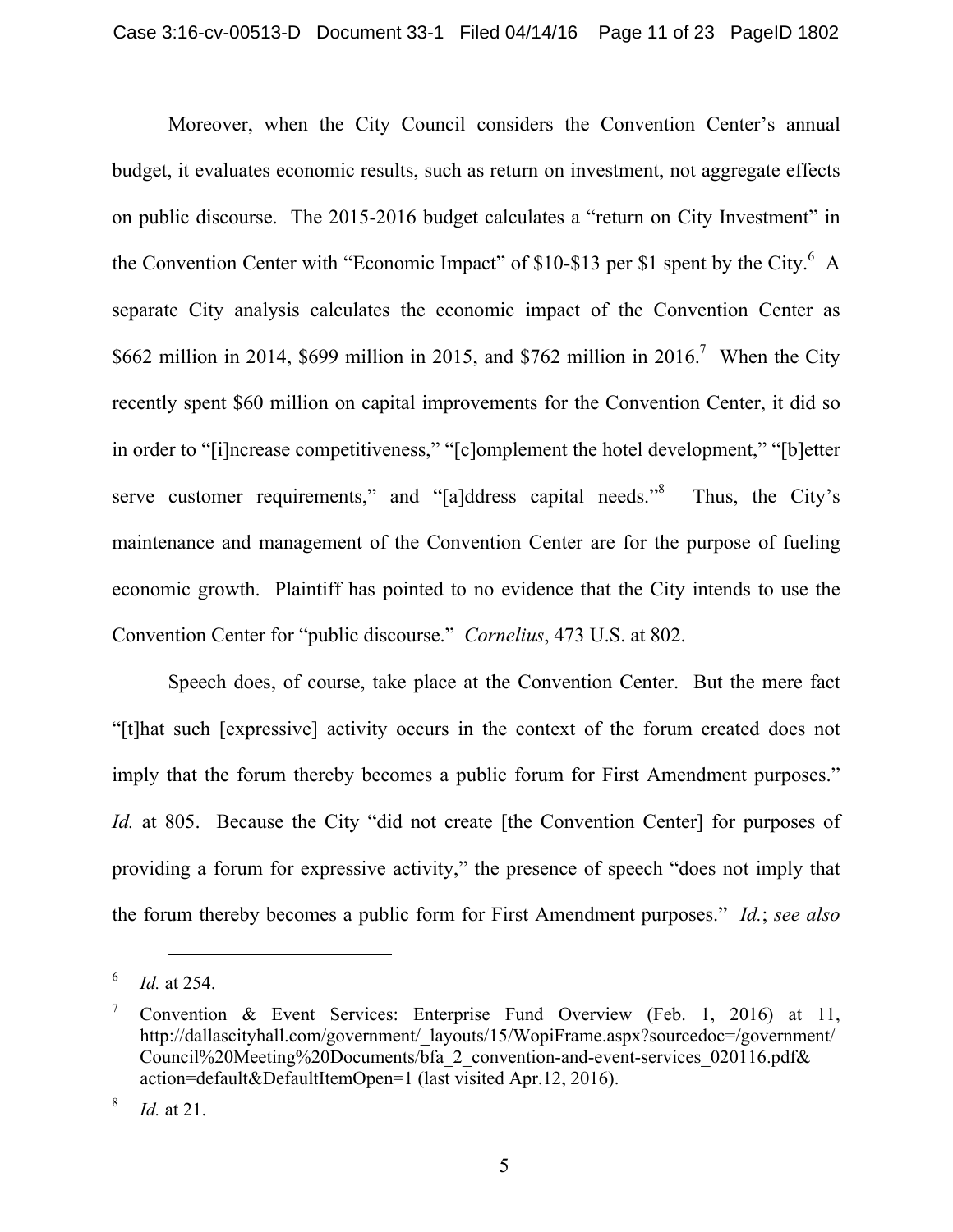Moreover, when the City Council considers the Convention Center's annual budget, it evaluates economic results, such as return on investment, not aggregate effects on public discourse. The 2015-2016 budget calculates a "return on City Investment" in the Convention Center with "Economic Impact" of \$10-\$13 per \$1 spent by the City.<sup>6</sup> A separate City analysis calculates the economic impact of the Convention Center as \$662 million in 2014, \$699 million in 2015, and \$762 million in 2016.<sup>7</sup> When the City recently spent \$60 million on capital improvements for the Convention Center, it did so in order to "[i]ncrease competitiveness," "[c]omplement the hotel development," "[b]etter serve customer requirements," and "[a]ddress capital needs."<sup>8</sup> Thus, the City's maintenance and management of the Convention Center are for the purpose of fueling economic growth. Plaintiff has pointed to no evidence that the City intends to use the Convention Center for "public discourse." *Cornelius*, 473 U.S. at 802.

Speech does, of course, take place at the Convention Center. But the mere fact "[t]hat such [expressive] activity occurs in the context of the forum created does not imply that the forum thereby becomes a public forum for First Amendment purposes." *Id.* at 805. Because the City "did not create [the Convention Center] for purposes of providing a forum for expressive activity," the presence of speech "does not imply that the forum thereby becomes a public form for First Amendment purposes." *Id.*; *see also* 

<sup>6</sup> *Id.* at 254.

<sup>7</sup> Convention & Event Services: Enterprise Fund Overview (Feb. 1, 2016) at 11, http://dallascityhall.com/government/\_layouts/15/WopiFrame.aspx?sourcedoc=/government/ Council%20Meeting%20Documents/bfa\_2\_convention-and-event-services\_020116.pdf& action=default&DefaultItemOpen=1 (last visited Apr.12, 2016).

<sup>8</sup> *Id.* at 21.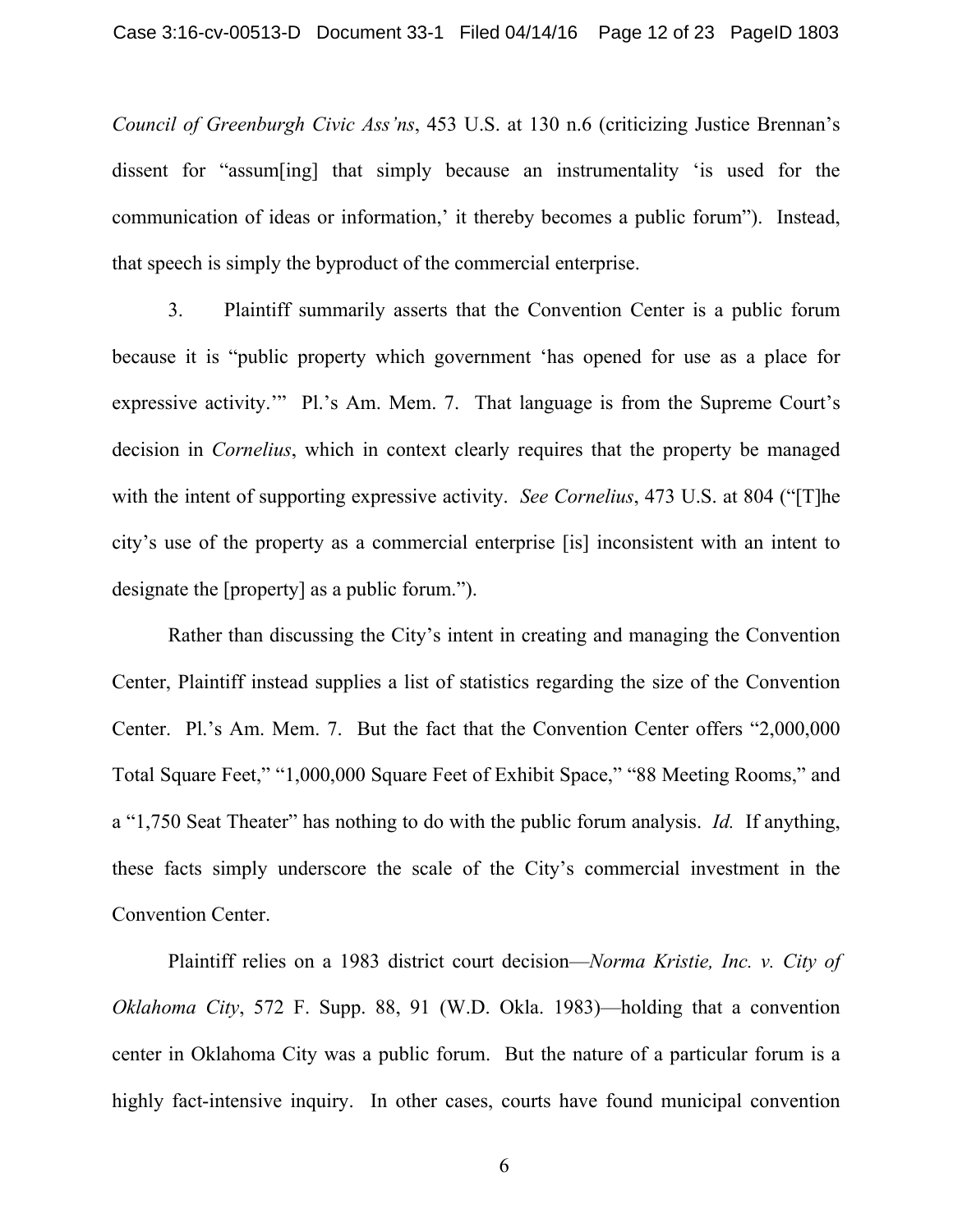*Council of Greenburgh Civic Ass'ns*, 453 U.S. at 130 n.6 (criticizing Justice Brennan's dissent for "assum[ing] that simply because an instrumentality 'is used for the communication of ideas or information,' it thereby becomes a public forum"). Instead, that speech is simply the byproduct of the commercial enterprise.

3. Plaintiff summarily asserts that the Convention Center is a public forum because it is "public property which government 'has opened for use as a place for expressive activity.'" Pl.'s Am. Mem. 7. That language is from the Supreme Court's decision in *Cornelius*, which in context clearly requires that the property be managed with the intent of supporting expressive activity. *See Cornelius*, 473 U.S. at 804 ("[T]he city's use of the property as a commercial enterprise [is] inconsistent with an intent to designate the [property] as a public forum.").

Rather than discussing the City's intent in creating and managing the Convention Center, Plaintiff instead supplies a list of statistics regarding the size of the Convention Center. Pl.'s Am. Mem. 7. But the fact that the Convention Center offers "2,000,000 Total Square Feet," "1,000,000 Square Feet of Exhibit Space," "88 Meeting Rooms," and a "1,750 Seat Theater" has nothing to do with the public forum analysis. *Id.* If anything, these facts simply underscore the scale of the City's commercial investment in the Convention Center.

Plaintiff relies on a 1983 district court decision—*Norma Kristie, Inc. v. City of Oklahoma City*, 572 F. Supp. 88, 91 (W.D. Okla. 1983)—holding that a convention center in Oklahoma City was a public forum. But the nature of a particular forum is a highly fact-intensive inquiry. In other cases, courts have found municipal convention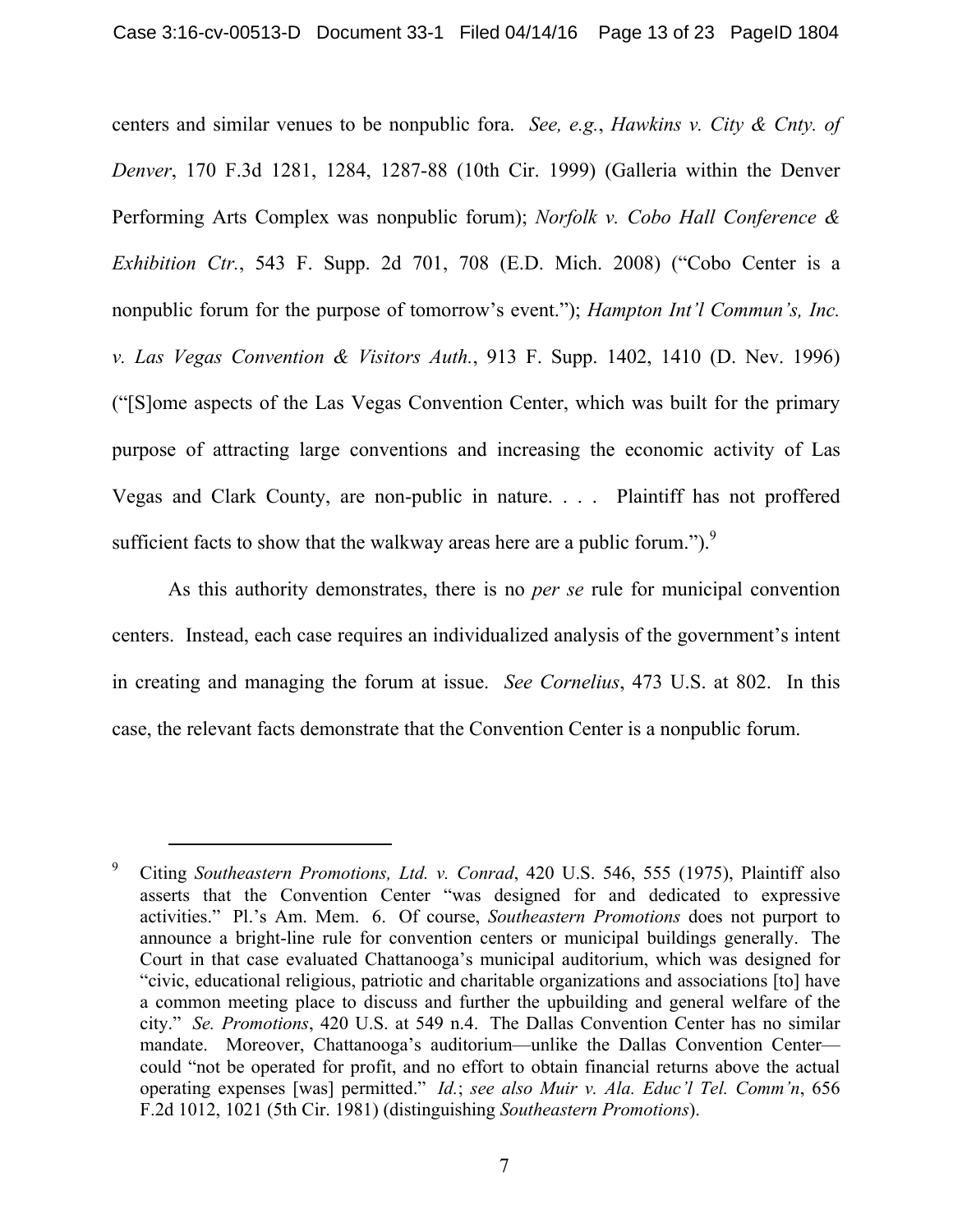centers and similar venues to be nonpublic fora. *See, e.g.*, *Hawkins v. City & Cnty. of Denver*, 170 F.3d 1281, 1284, 1287-88 (10th Cir. 1999) (Galleria within the Denver Performing Arts Complex was nonpublic forum); *Norfolk v. Cobo Hall Conference & Exhibition Ctr.*, 543 F. Supp. 2d 701, 708 (E.D. Mich. 2008) ("Cobo Center is a nonpublic forum for the purpose of tomorrow's event."); *Hampton Int'l Commun's, Inc. v. Las Vegas Convention & Visitors Auth.*, 913 F. Supp. 1402, 1410 (D. Nev. 1996) ("[S]ome aspects of the Las Vegas Convention Center, which was built for the primary purpose of attracting large conventions and increasing the economic activity of Las Vegas and Clark County, are non-public in nature. . . . Plaintiff has not proffered sufficient facts to show that the walkway areas here are a public forum." $)$ .

As this authority demonstrates, there is no *per se* rule for municipal convention centers. Instead, each case requires an individualized analysis of the government's intent in creating and managing the forum at issue. *See Cornelius*, 473 U.S. at 802. In this case, the relevant facts demonstrate that the Convention Center is a nonpublic forum.

<sup>9</sup> Citing *Southeastern Promotions, Ltd. v. Conrad*, 420 U.S. 546, 555 (1975), Plaintiff also asserts that the Convention Center "was designed for and dedicated to expressive activities." Pl.'s Am. Mem. 6. Of course, *Southeastern Promotions* does not purport to announce a bright-line rule for convention centers or municipal buildings generally. The Court in that case evaluated Chattanooga's municipal auditorium, which was designed for "civic, educational religious, patriotic and charitable organizations and associations [to] have a common meeting place to discuss and further the upbuilding and general welfare of the city." *Se. Promotions*, 420 U.S. at 549 n.4. The Dallas Convention Center has no similar mandate. Moreover, Chattanooga's auditorium—unlike the Dallas Convention Center could "not be operated for profit, and no effort to obtain financial returns above the actual operating expenses [was] permitted." *Id.*; *see also Muir v. Ala. Educ'l Tel. Comm'n*, 656 F.2d 1012, 1021 (5th Cir. 1981) (distinguishing *Southeastern Promotions*).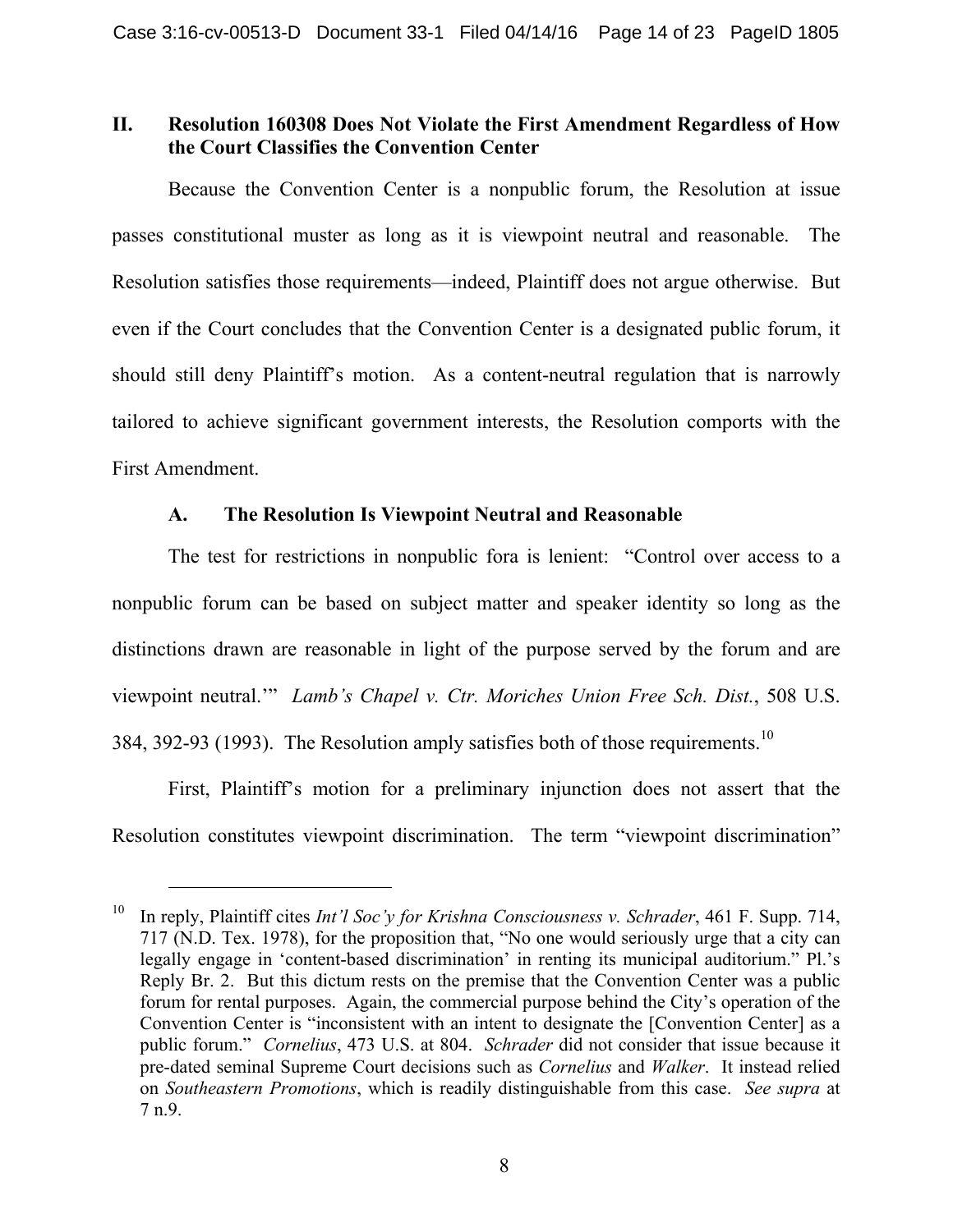## **II. Resolution 160308 Does Not Violate the First Amendment Regardless of How the Court Classifies the Convention Center**

Because the Convention Center is a nonpublic forum, the Resolution at issue passes constitutional muster as long as it is viewpoint neutral and reasonable. The Resolution satisfies those requirements—indeed, Plaintiff does not argue otherwise. But even if the Court concludes that the Convention Center is a designated public forum, it should still deny Plaintiff's motion. As a content-neutral regulation that is narrowly tailored to achieve significant government interests, the Resolution comports with the First Amendment.

## **A. The Resolution Is Viewpoint Neutral and Reasonable**

The test for restrictions in nonpublic fora is lenient: "Control over access to a nonpublic forum can be based on subject matter and speaker identity so long as the distinctions drawn are reasonable in light of the purpose served by the forum and are viewpoint neutral.'" *Lamb's Chapel v. Ctr. Moriches Union Free Sch. Dist.*, 508 U.S. 384, 392-93 (1993). The Resolution amply satisfies both of those requirements.<sup>10</sup>

First, Plaintiff's motion for a preliminary injunction does not assert that the Resolution constitutes viewpoint discrimination. The term "viewpoint discrimination"

<sup>10</sup> In reply, Plaintiff cites *Int'l Soc'y for Krishna Consciousness v. Schrader*, 461 F. Supp. 714, 717 (N.D. Tex. 1978), for the proposition that, "No one would seriously urge that a city can legally engage in 'content-based discrimination' in renting its municipal auditorium." Pl.'s Reply Br. 2. But this dictum rests on the premise that the Convention Center was a public forum for rental purposes. Again, the commercial purpose behind the City's operation of the Convention Center is "inconsistent with an intent to designate the [Convention Center] as a public forum." *Cornelius*, 473 U.S. at 804. *Schrader* did not consider that issue because it pre-dated seminal Supreme Court decisions such as *Cornelius* and *Walker*. It instead relied on *Southeastern Promotions*, which is readily distinguishable from this case. *See supra* at 7 n.9.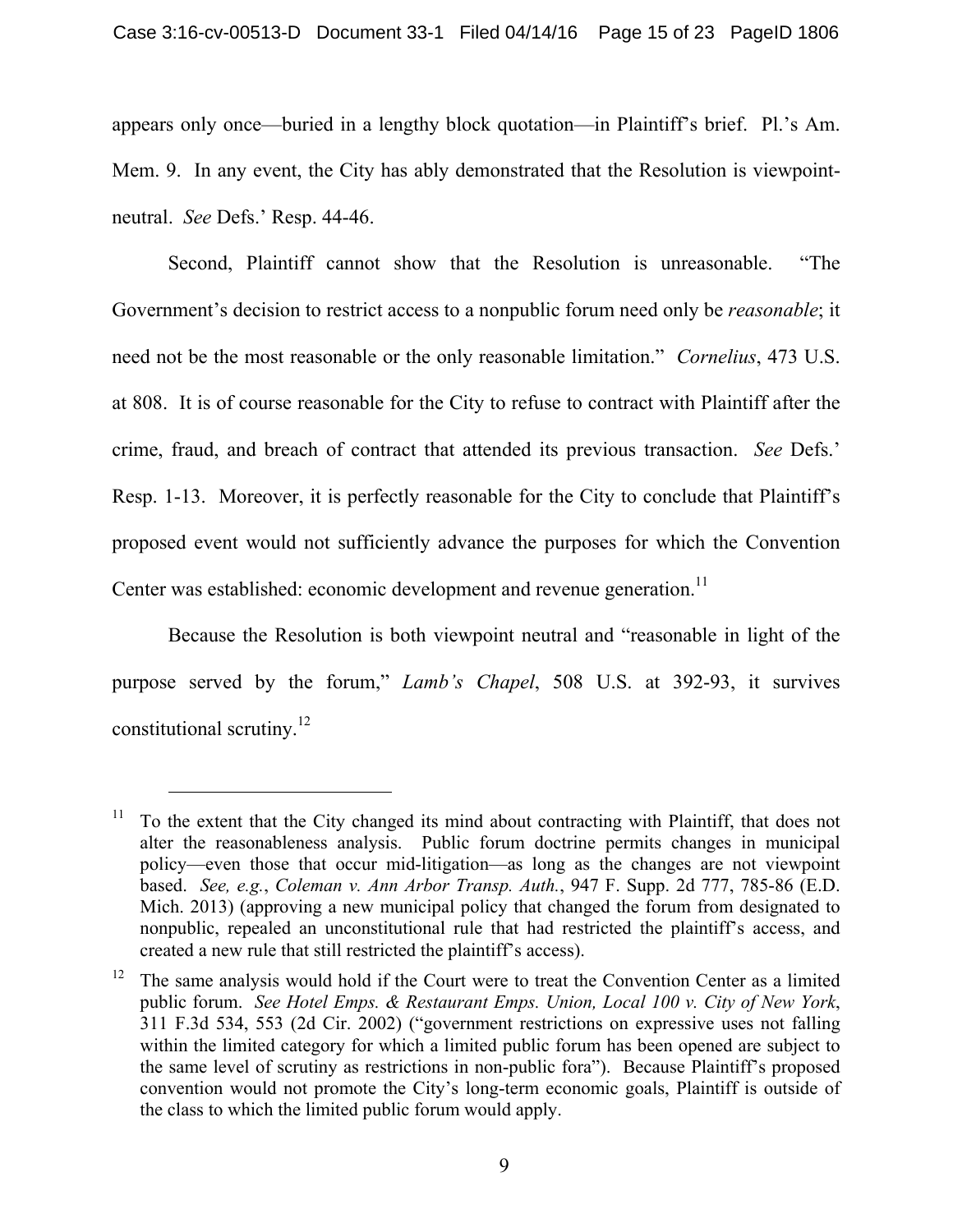appears only once—buried in a lengthy block quotation—in Plaintiff's brief. Pl.'s Am. Mem. 9. In any event, the City has ably demonstrated that the Resolution is viewpointneutral. *See* Defs.' Resp. 44-46.

Second, Plaintiff cannot show that the Resolution is unreasonable. "The Government's decision to restrict access to a nonpublic forum need only be *reasonable*; it need not be the most reasonable or the only reasonable limitation." *Cornelius*, 473 U.S. at 808. It is of course reasonable for the City to refuse to contract with Plaintiff after the crime, fraud, and breach of contract that attended its previous transaction. *See* Defs.' Resp. 1-13. Moreover, it is perfectly reasonable for the City to conclude that Plaintiff's proposed event would not sufficiently advance the purposes for which the Convention Center was established: economic development and revenue generation.<sup>11</sup>

Because the Resolution is both viewpoint neutral and "reasonable in light of the purpose served by the forum," *Lamb's Chapel*, 508 U.S. at 392-93, it survives constitutional scrutiny.12

 $11$  To the extent that the City changed its mind about contracting with Plaintiff, that does not alter the reasonableness analysis. Public forum doctrine permits changes in municipal policy—even those that occur mid-litigation—as long as the changes are not viewpoint based. *See, e.g.*, *Coleman v. Ann Arbor Transp. Auth.*, 947 F. Supp. 2d 777, 785-86 (E.D. Mich. 2013) (approving a new municipal policy that changed the forum from designated to nonpublic, repealed an unconstitutional rule that had restricted the plaintiff's access, and created a new rule that still restricted the plaintiff's access).

 $12$  The same analysis would hold if the Court were to treat the Convention Center as a limited public forum. *See Hotel Emps. & Restaurant Emps. Union, Local 100 v. City of New York*, 311 F.3d 534, 553 (2d Cir. 2002) ("government restrictions on expressive uses not falling within the limited category for which a limited public forum has been opened are subject to the same level of scrutiny as restrictions in non-public fora"). Because Plaintiff's proposed convention would not promote the City's long-term economic goals, Plaintiff is outside of the class to which the limited public forum would apply.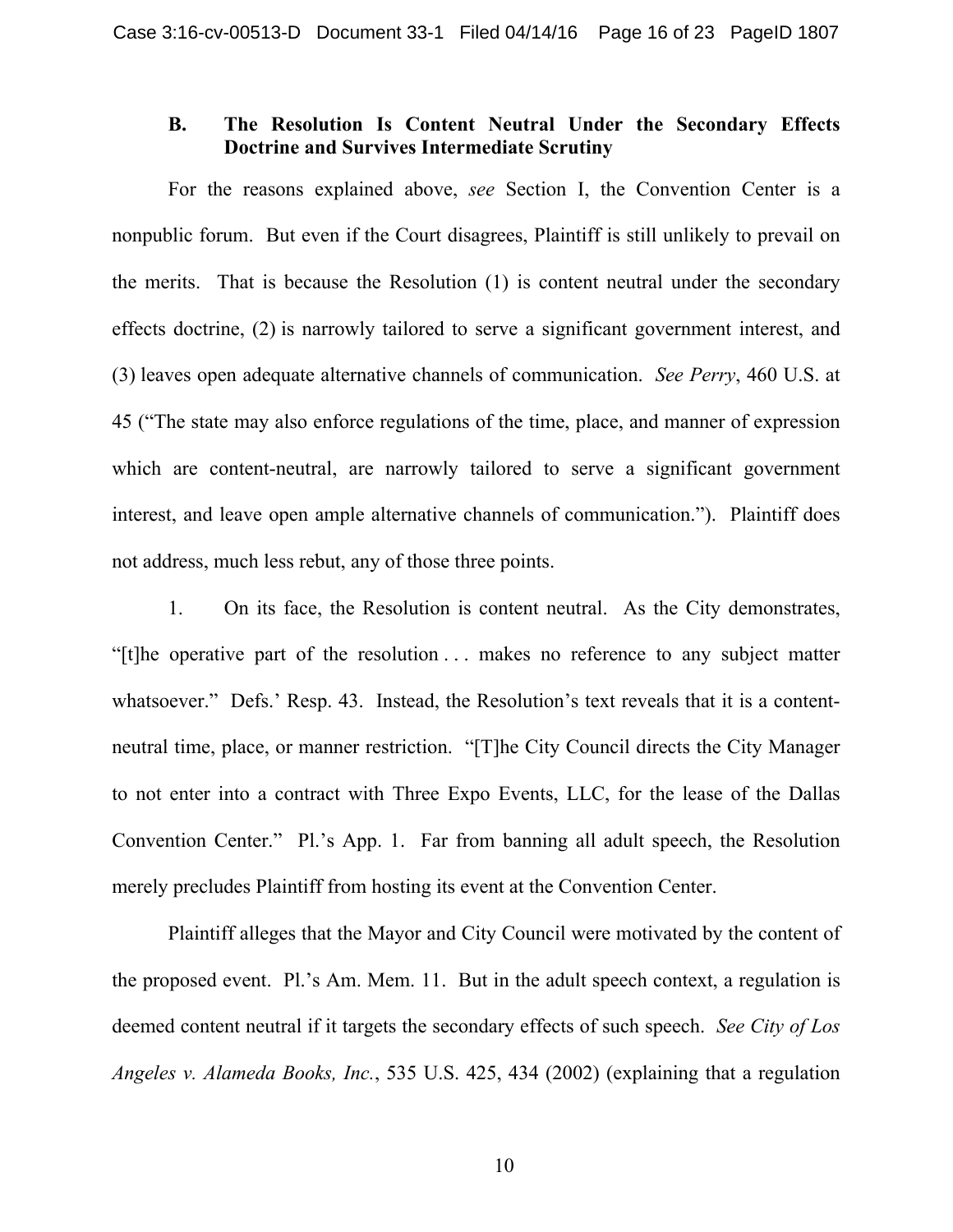## **B. The Resolution Is Content Neutral Under the Secondary Effects Doctrine and Survives Intermediate Scrutiny**

For the reasons explained above, *see* Section I, the Convention Center is a nonpublic forum. But even if the Court disagrees, Plaintiff is still unlikely to prevail on the merits. That is because the Resolution (1) is content neutral under the secondary effects doctrine, (2) is narrowly tailored to serve a significant government interest, and (3) leaves open adequate alternative channels of communication. *See Perry*, 460 U.S. at 45 ("The state may also enforce regulations of the time, place, and manner of expression which are content-neutral, are narrowly tailored to serve a significant government interest, and leave open ample alternative channels of communication."). Plaintiff does not address, much less rebut, any of those three points.

1. On its face, the Resolution is content neutral. As the City demonstrates, "[t]he operative part of the resolution . . . makes no reference to any subject matter whatsoever." Defs.' Resp. 43. Instead, the Resolution's text reveals that it is a contentneutral time, place, or manner restriction. "[T]he City Council directs the City Manager to not enter into a contract with Three Expo Events, LLC, for the lease of the Dallas Convention Center." Pl.'s App. 1. Far from banning all adult speech, the Resolution merely precludes Plaintiff from hosting its event at the Convention Center.

Plaintiff alleges that the Mayor and City Council were motivated by the content of the proposed event. Pl.'s Am. Mem. 11. But in the adult speech context, a regulation is deemed content neutral if it targets the secondary effects of such speech. *See City of Los Angeles v. Alameda Books, Inc.*, 535 U.S. 425, 434 (2002) (explaining that a regulation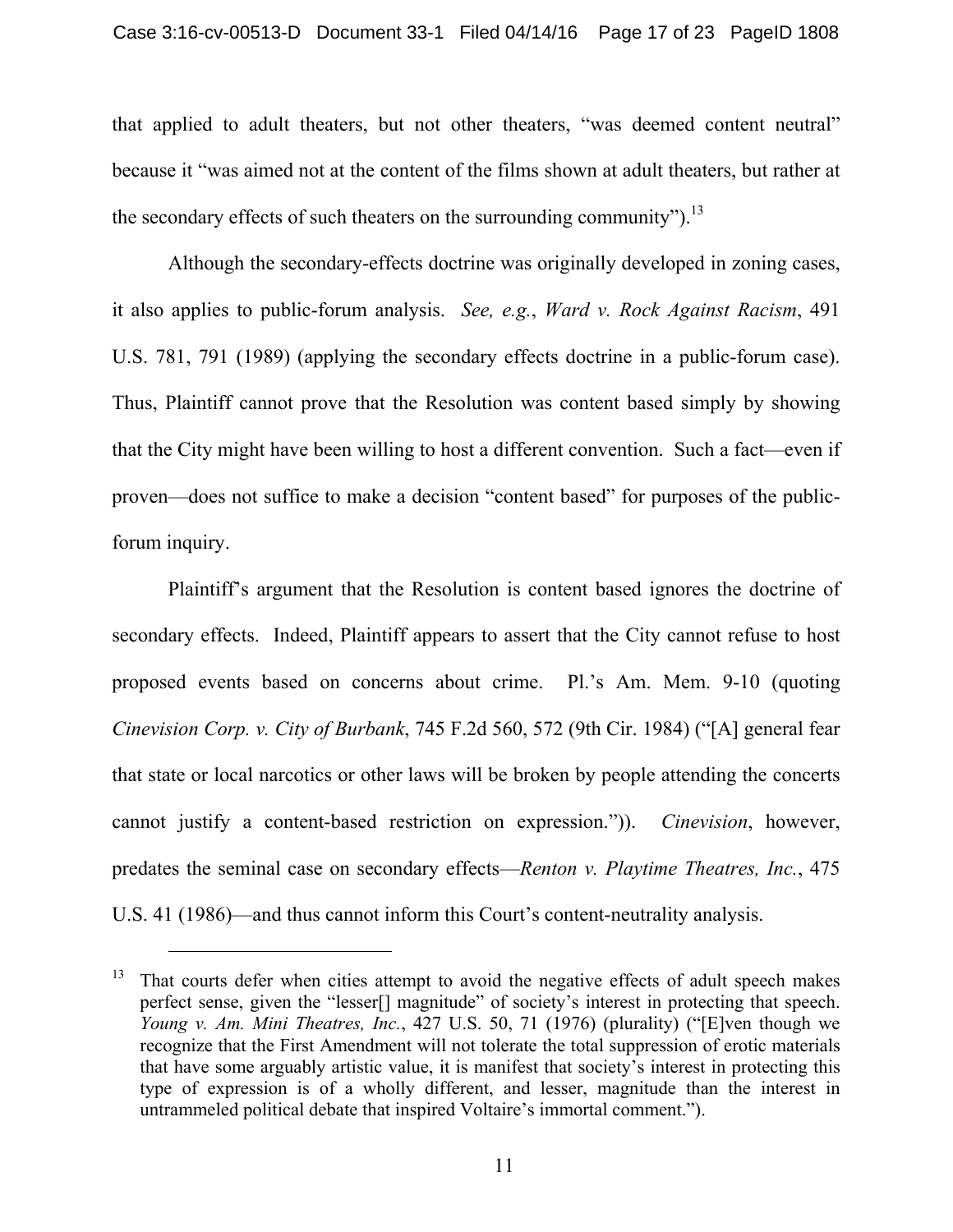that applied to adult theaters, but not other theaters, "was deemed content neutral" because it "was aimed not at the content of the films shown at adult theaters, but rather at the secondary effects of such theaters on the surrounding community").<sup>13</sup>

Although the secondary-effects doctrine was originally developed in zoning cases, it also applies to public-forum analysis. *See, e.g.*, *Ward v. Rock Against Racism*, 491 U.S. 781, 791 (1989) (applying the secondary effects doctrine in a public-forum case). Thus, Plaintiff cannot prove that the Resolution was content based simply by showing that the City might have been willing to host a different convention. Such a fact—even if proven—does not suffice to make a decision "content based" for purposes of the publicforum inquiry.

Plaintiff's argument that the Resolution is content based ignores the doctrine of secondary effects. Indeed, Plaintiff appears to assert that the City cannot refuse to host proposed events based on concerns about crime. Pl.'s Am. Mem. 9-10 (quoting *Cinevision Corp. v. City of Burbank*, 745 F.2d 560, 572 (9th Cir. 1984) ("[A] general fear that state or local narcotics or other laws will be broken by people attending the concerts cannot justify a content-based restriction on expression.")). *Cinevision*, however, predates the seminal case on secondary effects—*Renton v. Playtime Theatres, Inc.*, 475 U.S. 41 (1986)—and thus cannot inform this Court's content-neutrality analysis.

 $13$  That courts defer when cities attempt to avoid the negative effects of adult speech makes perfect sense, given the "lesser[] magnitude" of society's interest in protecting that speech. *Young v. Am. Mini Theatres, Inc.*, 427 U.S. 50, 71 (1976) (plurality) ("[E]ven though we recognize that the First Amendment will not tolerate the total suppression of erotic materials that have some arguably artistic value, it is manifest that society's interest in protecting this type of expression is of a wholly different, and lesser, magnitude than the interest in untrammeled political debate that inspired Voltaire's immortal comment.").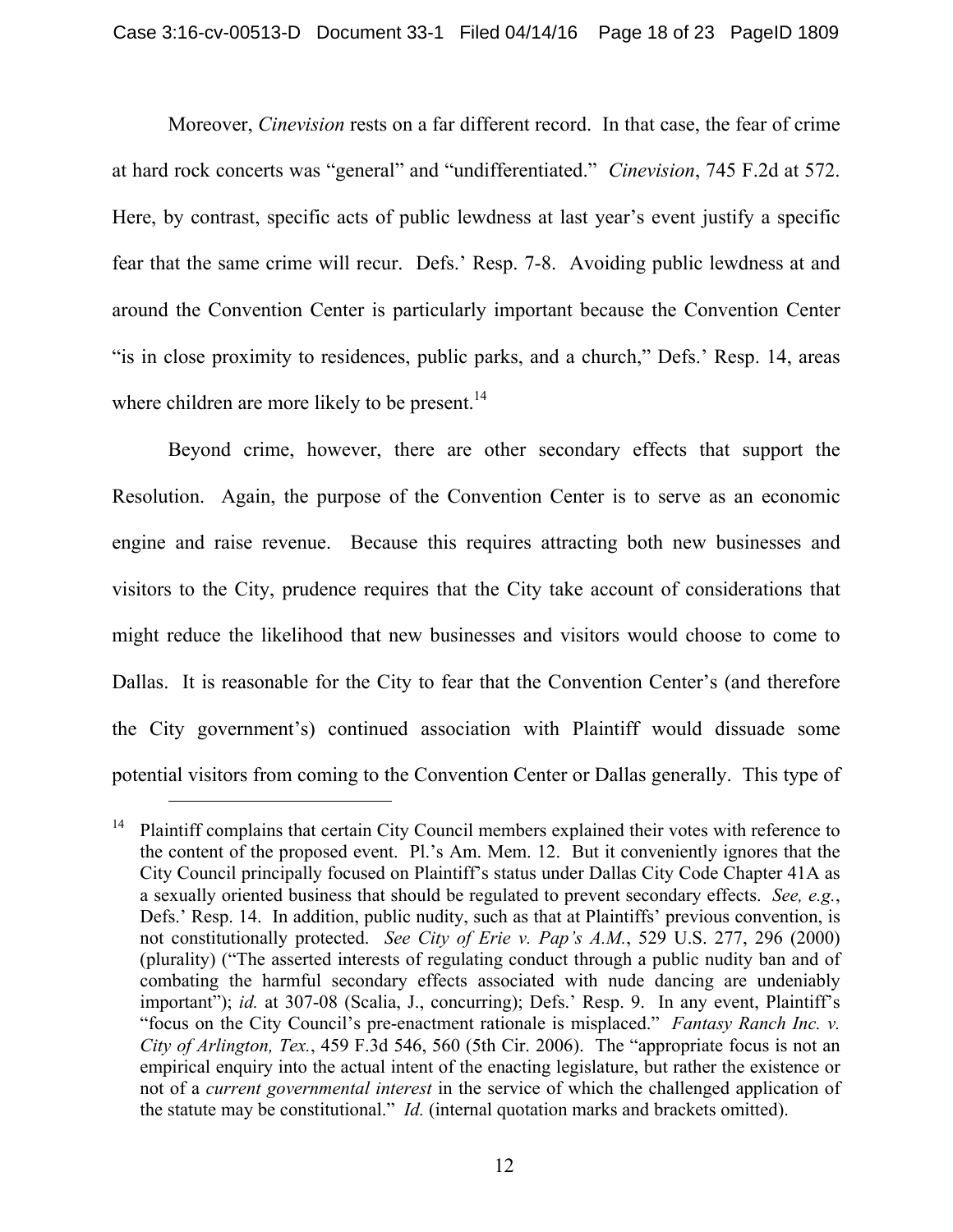Moreover, *Cinevision* rests on a far different record. In that case, the fear of crime at hard rock concerts was "general" and "undifferentiated." *Cinevision*, 745 F.2d at 572. Here, by contrast, specific acts of public lewdness at last year's event justify a specific fear that the same crime will recur. Defs.' Resp. 7-8. Avoiding public lewdness at and around the Convention Center is particularly important because the Convention Center "is in close proximity to residences, public parks, and a church," Defs.' Resp. 14, areas where children are more likely to be present.<sup>14</sup>

Beyond crime, however, there are other secondary effects that support the Resolution. Again, the purpose of the Convention Center is to serve as an economic engine and raise revenue. Because this requires attracting both new businesses and visitors to the City, prudence requires that the City take account of considerations that might reduce the likelihood that new businesses and visitors would choose to come to Dallas. It is reasonable for the City to fear that the Convention Center's (and therefore the City government's) continued association with Plaintiff would dissuade some potential visitors from coming to the Convention Center or Dallas generally. This type of

<sup>&</sup>lt;sup>14</sup> Plaintiff complains that certain City Council members explained their votes with reference to the content of the proposed event. Pl.'s Am. Mem. 12. But it conveniently ignores that the City Council principally focused on Plaintiff's status under Dallas City Code Chapter 41A as a sexually oriented business that should be regulated to prevent secondary effects. *See, e.g.*, Defs.' Resp. 14. In addition, public nudity, such as that at Plaintiffs' previous convention, is not constitutionally protected. *See City of Erie v. Pap's A.M.*, 529 U.S. 277, 296 (2000) (plurality) ("The asserted interests of regulating conduct through a public nudity ban and of combating the harmful secondary effects associated with nude dancing are undeniably important"); *id.* at 307-08 (Scalia, J., concurring); Defs.' Resp. 9. In any event, Plaintiff's "focus on the City Council's pre-enactment rationale is misplaced." *Fantasy Ranch Inc. v. City of Arlington, Tex.*, 459 F.3d 546, 560 (5th Cir. 2006). The "appropriate focus is not an empirical enquiry into the actual intent of the enacting legislature, but rather the existence or not of a *current governmental interest* in the service of which the challenged application of the statute may be constitutional." *Id.* (internal quotation marks and brackets omitted).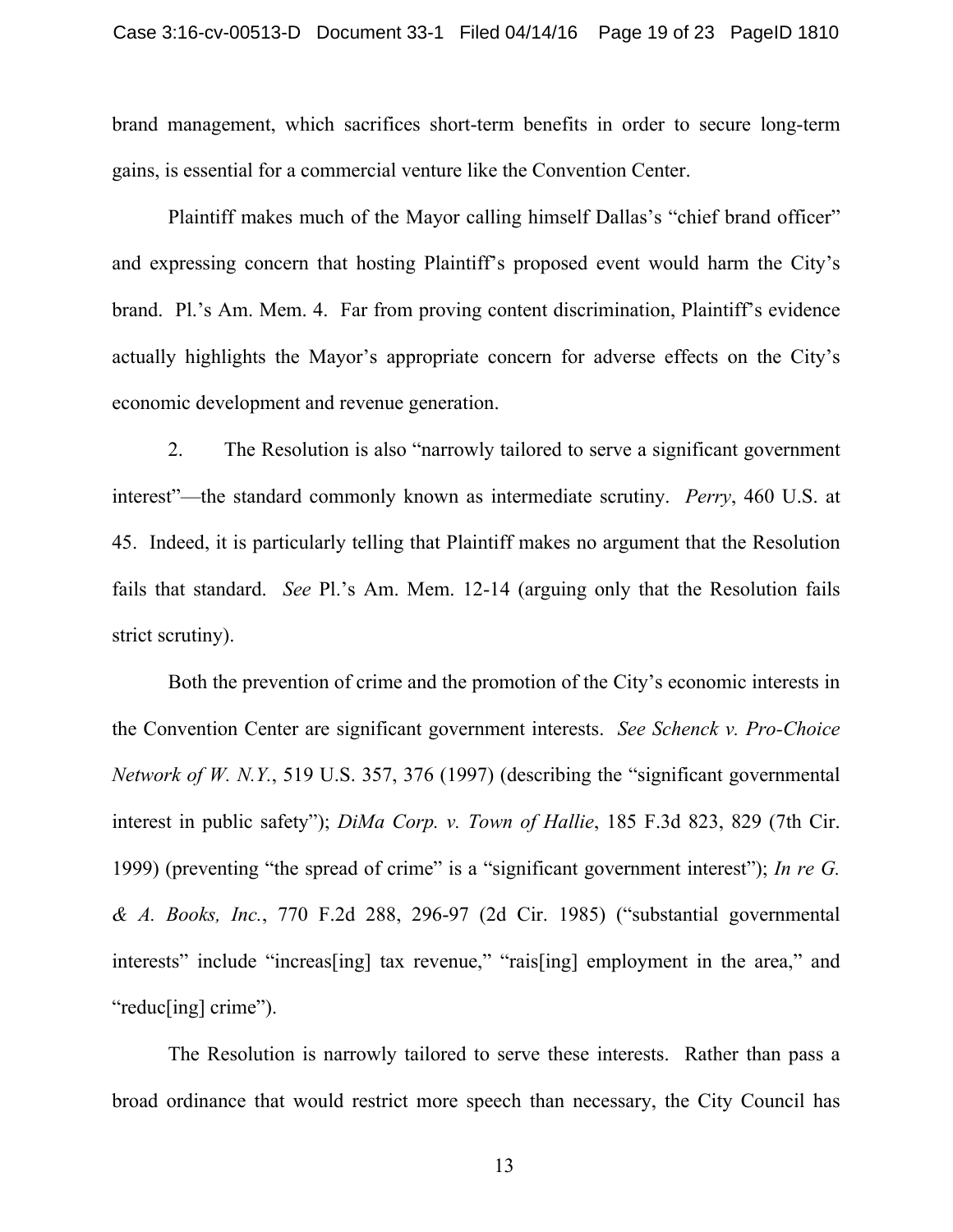brand management, which sacrifices short-term benefits in order to secure long-term gains, is essential for a commercial venture like the Convention Center.

Plaintiff makes much of the Mayor calling himself Dallas's "chief brand officer" and expressing concern that hosting Plaintiff's proposed event would harm the City's brand. Pl.'s Am. Mem. 4. Far from proving content discrimination, Plaintiff's evidence actually highlights the Mayor's appropriate concern for adverse effects on the City's economic development and revenue generation.

2. The Resolution is also "narrowly tailored to serve a significant government interest"—the standard commonly known as intermediate scrutiny. *Perry*, 460 U.S. at 45. Indeed, it is particularly telling that Plaintiff makes no argument that the Resolution fails that standard. *See* Pl.'s Am. Mem. 12-14 (arguing only that the Resolution fails strict scrutiny).

Both the prevention of crime and the promotion of the City's economic interests in the Convention Center are significant government interests. *See Schenck v. Pro-Choice Network of W. N.Y.*, 519 U.S. 357, 376 (1997) (describing the "significant governmental interest in public safety"); *DiMa Corp. v. Town of Hallie*, 185 F.3d 823, 829 (7th Cir. 1999) (preventing "the spread of crime" is a "significant government interest"); *In re G. & A. Books, Inc.*, 770 F.2d 288, 296-97 (2d Cir. 1985) ("substantial governmental interests" include "increas[ing] tax revenue," "rais[ing] employment in the area," and "reduc[ing] crime").

The Resolution is narrowly tailored to serve these interests. Rather than pass a broad ordinance that would restrict more speech than necessary, the City Council has

13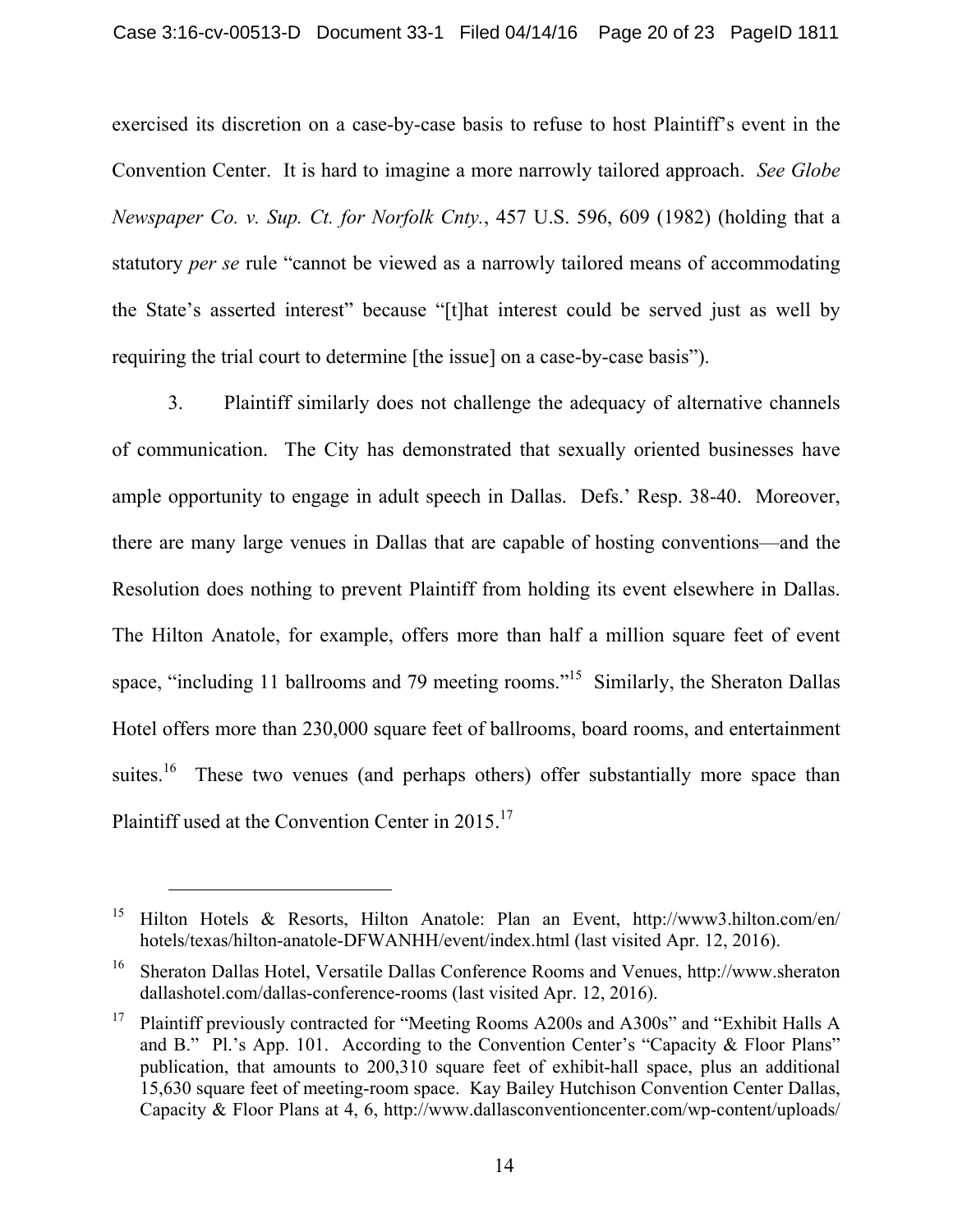exercised its discretion on a case-by-case basis to refuse to host Plaintiff's event in the Convention Center. It is hard to imagine a more narrowly tailored approach. *See Globe Newspaper Co. v. Sup. Ct. for Norfolk Cnty.*, 457 U.S. 596, 609 (1982) (holding that a statutory *per se* rule "cannot be viewed as a narrowly tailored means of accommodating the State's asserted interest" because "[t]hat interest could be served just as well by requiring the trial court to determine [the issue] on a case-by-case basis").

3. Plaintiff similarly does not challenge the adequacy of alternative channels of communication. The City has demonstrated that sexually oriented businesses have ample opportunity to engage in adult speech in Dallas. Defs.' Resp. 38-40. Moreover, there are many large venues in Dallas that are capable of hosting conventions—and the Resolution does nothing to prevent Plaintiff from holding its event elsewhere in Dallas. The Hilton Anatole, for example, offers more than half a million square feet of event space, "including 11 ballrooms and 79 meeting rooms."<sup>15</sup> Similarly, the Sheraton Dallas Hotel offers more than 230,000 square feet of ballrooms, board rooms, and entertainment suites.<sup>16</sup> These two venues (and perhaps others) offer substantially more space than Plaintiff used at the Convention Center in 2015.<sup>17</sup>

<sup>15</sup> Hilton Hotels & Resorts, Hilton Anatole: Plan an Event, http://www3.hilton.com/en/ hotels/texas/hilton-anatole-DFWANHH/event/index.html (last visited Apr. 12, 2016).

<sup>16</sup> Sheraton Dallas Hotel, Versatile Dallas Conference Rooms and Venues, http://www.sheraton dallashotel.com/dallas-conference-rooms (last visited Apr. 12, 2016).

<sup>17</sup> Plaintiff previously contracted for "Meeting Rooms A200s and A300s" and "Exhibit Halls A and B." Pl.'s App. 101. According to the Convention Center's "Capacity & Floor Plans" publication, that amounts to 200,310 square feet of exhibit-hall space, plus an additional 15,630 square feet of meeting-room space. Kay Bailey Hutchison Convention Center Dallas, Capacity & Floor Plans at 4, 6, http://www.dallasconventioncenter.com/wp-content/uploads/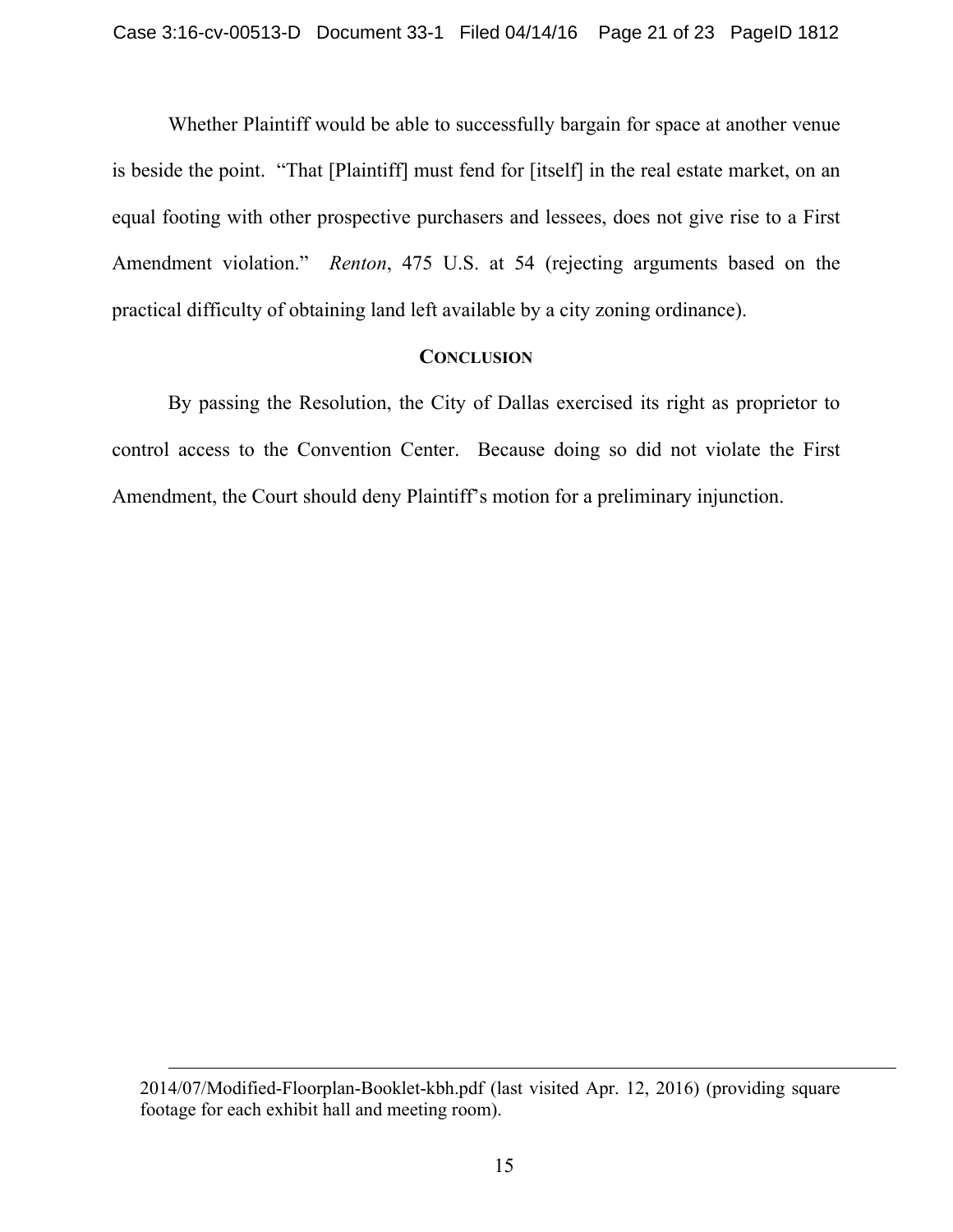Whether Plaintiff would be able to successfully bargain for space at another venue is beside the point. "That [Plaintiff] must fend for [itself] in the real estate market, on an equal footing with other prospective purchasers and lessees, does not give rise to a First Amendment violation." *Renton*, 475 U.S. at 54 (rejecting arguments based on the practical difficulty of obtaining land left available by a city zoning ordinance).

## **CONCLUSION**

By passing the Resolution, the City of Dallas exercised its right as proprietor to control access to the Convention Center. Because doing so did not violate the First Amendment, the Court should deny Plaintiff's motion for a preliminary injunction.

<sup>2014/07/</sup>Modified-Floorplan-Booklet-kbh.pdf (last visited Apr. 12, 2016) (providing square footage for each exhibit hall and meeting room).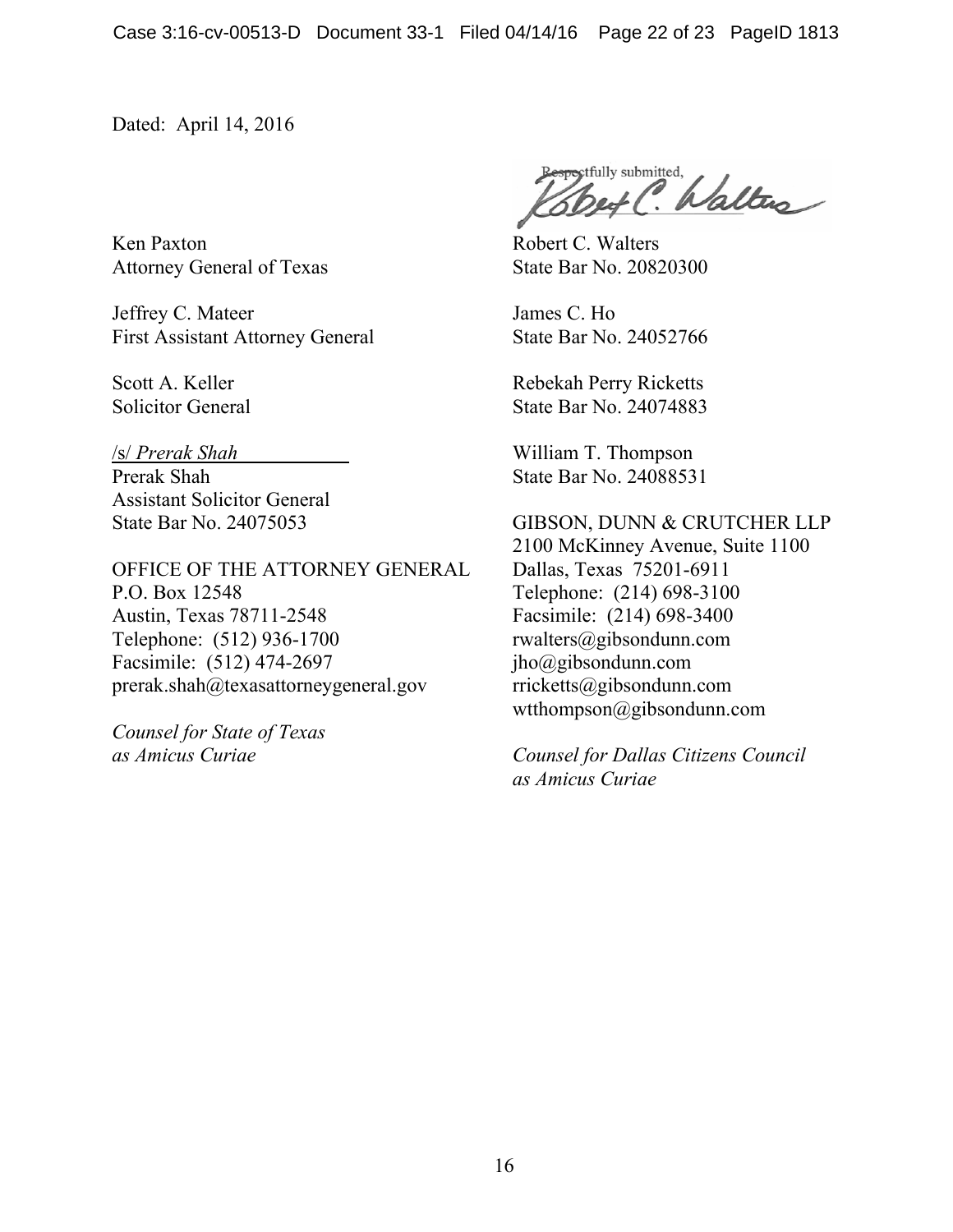Dated: April 14, 2016

Ken Paxton Attorney General of Texas

Jeffrey C. Mateer First Assistant Attorney General

Scott A. Keller Solicitor General

#### /s/ *Prerak Shah*

Prerak Shah Assistant Solicitor General State Bar No. 24075053

OFFICE OF THE ATTORNEY GENERAL P.O. Box 12548 Austin, Texas 78711-2548 Telephone: (512) 936-1700 Facsimile: (512) 474-2697 prerak.shah@texasattorneygeneral.gov

*Counsel for State of Texas as Amicus Curiae* 

pectfully submitted, Walters

Robert C. Walters State Bar No. 20820300

James C. Ho State Bar No. 24052766

Rebekah Perry Ricketts State Bar No. 24074883

William T. Thompson State Bar No. 24088531

## GIBSON, DUNN & CRUTCHER LLP

2100 McKinney Avenue, Suite 1100 Dallas, Texas 75201-6911 Telephone: (214) 698-3100 Facsimile: (214) 698-3400 rwalters@gibsondunn.com jho@gibsondunn.com rricketts@gibsondunn.com wtthompson@gibsondunn.com

*Counsel for Dallas Citizens Council as Amicus Curiae*